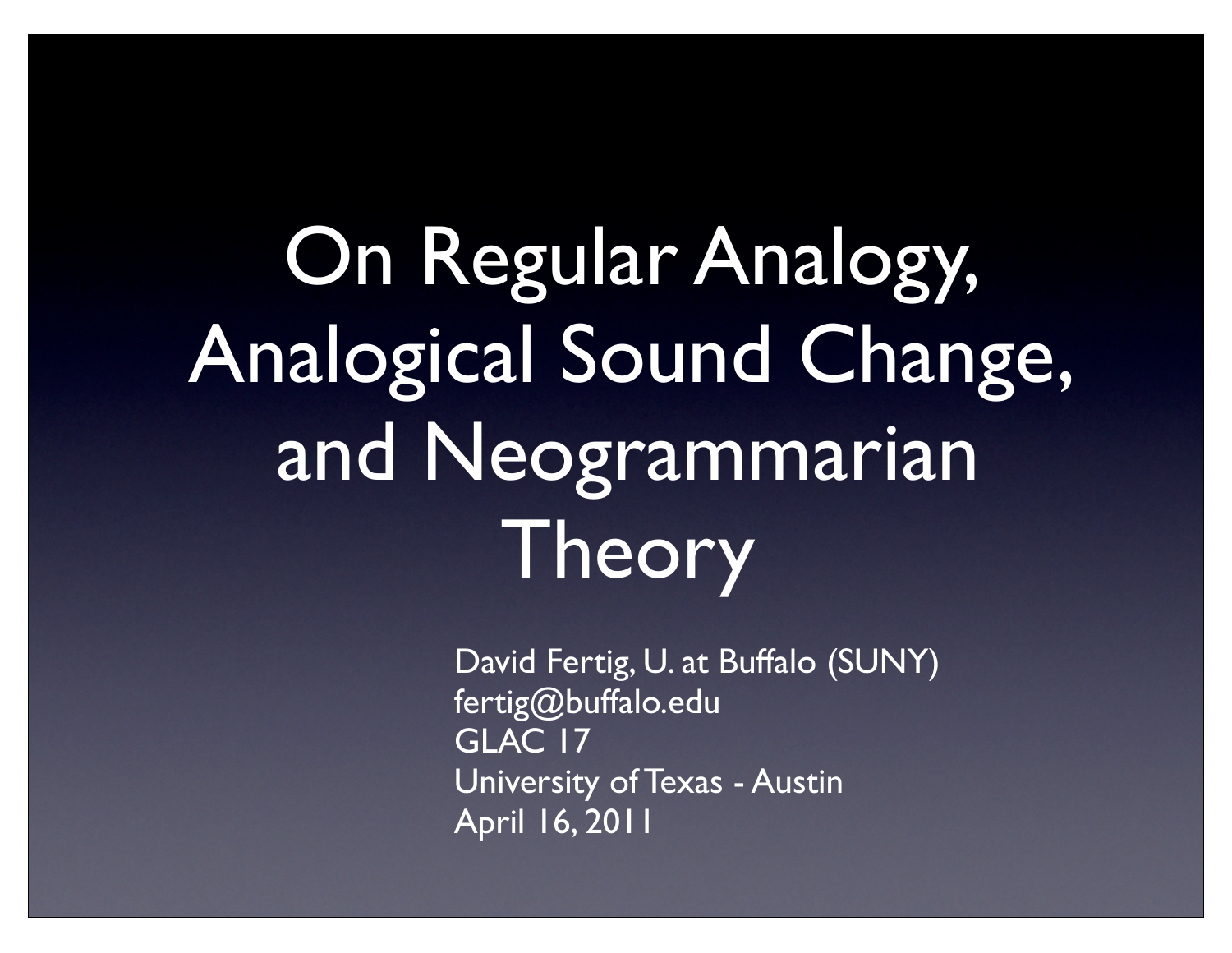On Regular Analogy, Analogical Sound Change, and Neogrammarian Theory

> David Fertig, U. at Buffalo (SUNY) fertig@buffalo.edu GLAC 17 University of Texas - Austin April 16, 2011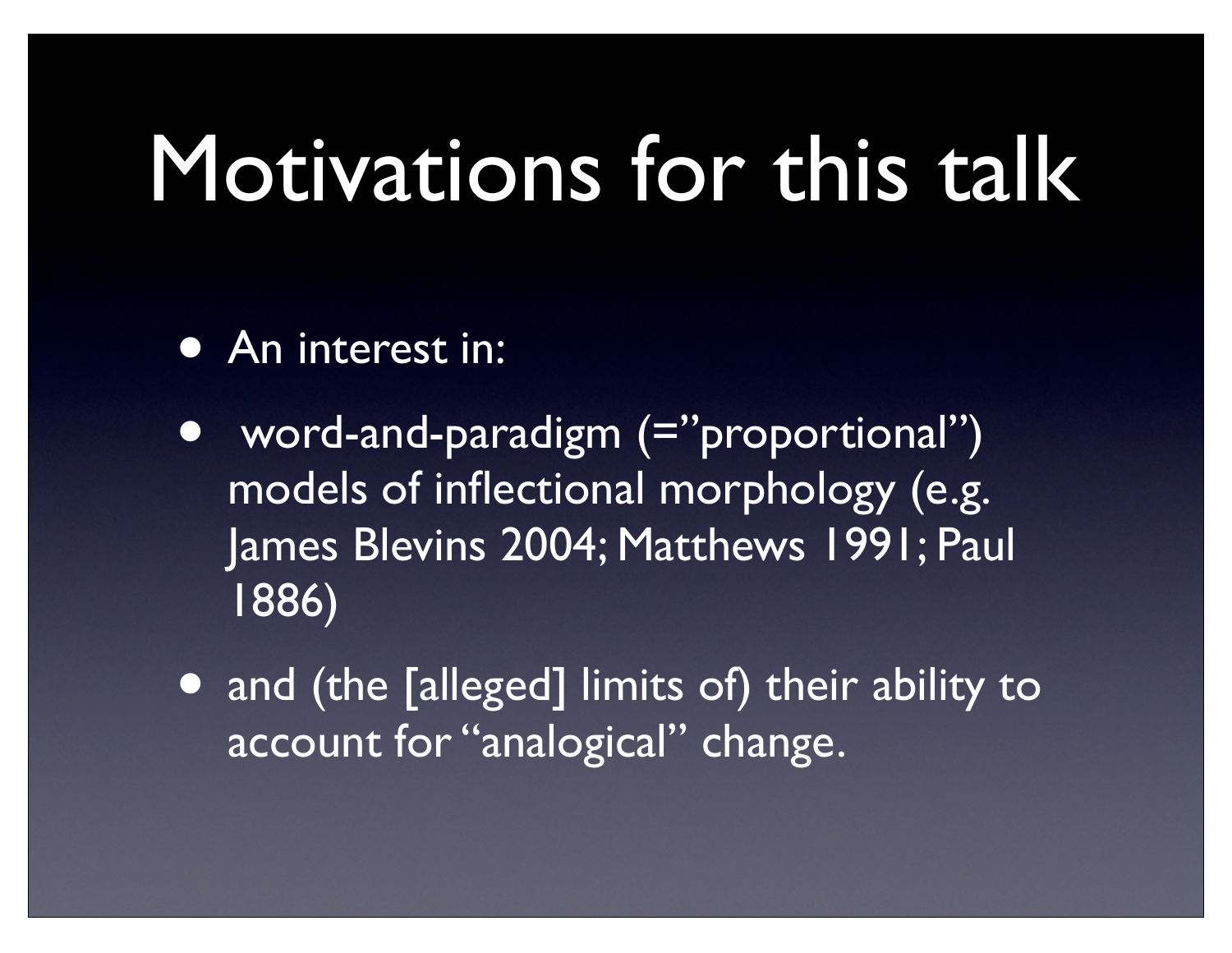### Motivations for this talk

- An interest in:
- word-and-paradigm (="proportional") models of inflectional morphology (e.g. James Blevins 2004; Matthews 1991; Paul 1886)
- and (the [alleged] limits of) their ability to account for "analogical" change.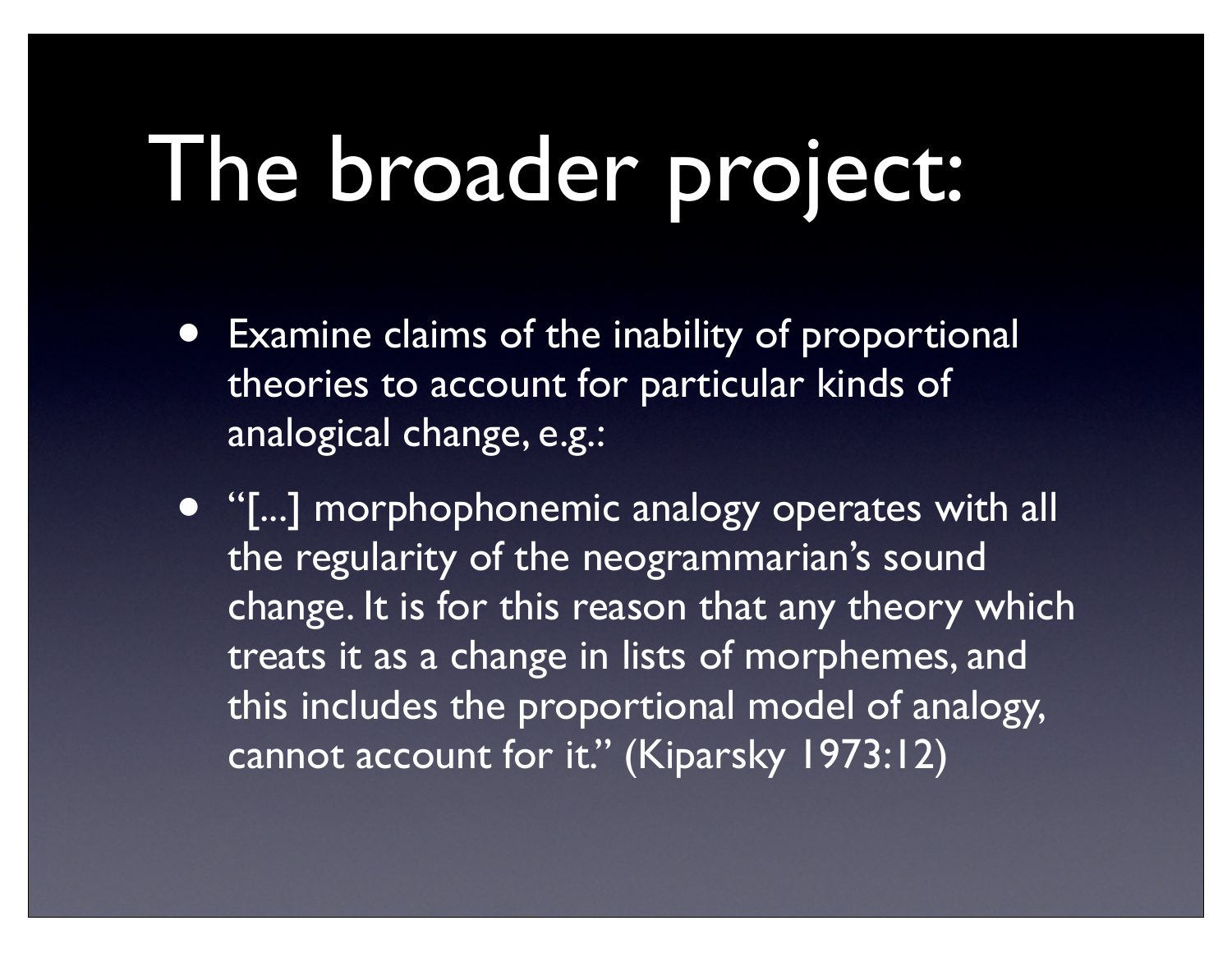## The broader project:

**Examine claims of the inability of proportional** theories to account for particular kinds of analogical change, e.g.:

• "[...] morphophonemic analogy operates with all the regularity of the neogrammarian's sound change. It is for this reason that any theory which treats it as a change in lists of morphemes, and this includes the proportional model of analogy, cannot account for it." (Kiparsky 1973:12)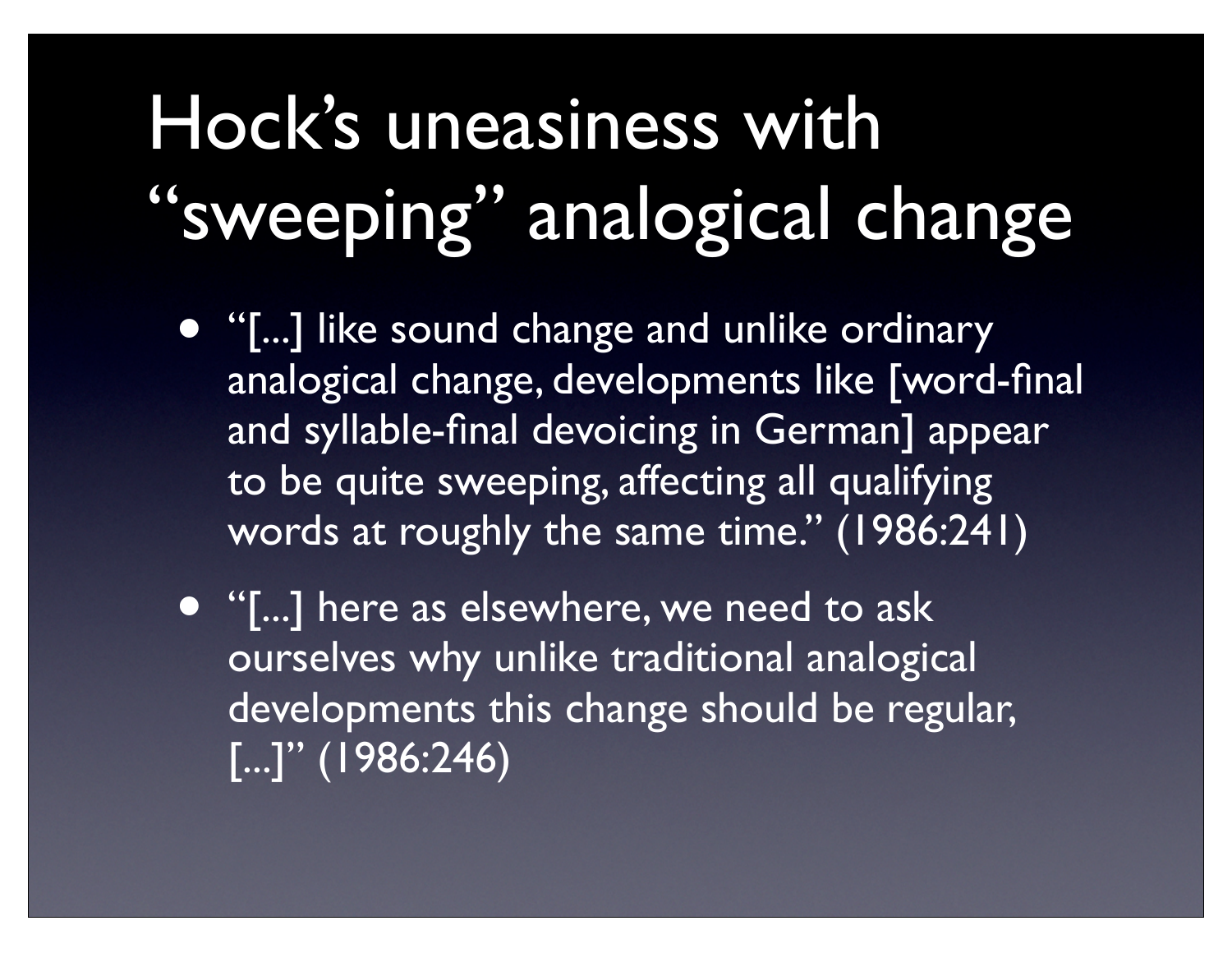#### Hock's uneasiness with "sweeping" analogical change

- "[...] like sound change and unlike ordinary analogical change, developments like [word-final and syllable-final devoicing in German] appear to be quite sweeping, affecting all qualifying words at roughly the same time." (1986:241)
- "[...] here as elsewhere, we need to ask ourselves why unlike traditional analogical developments this change should be regular, [...]" (1986:246)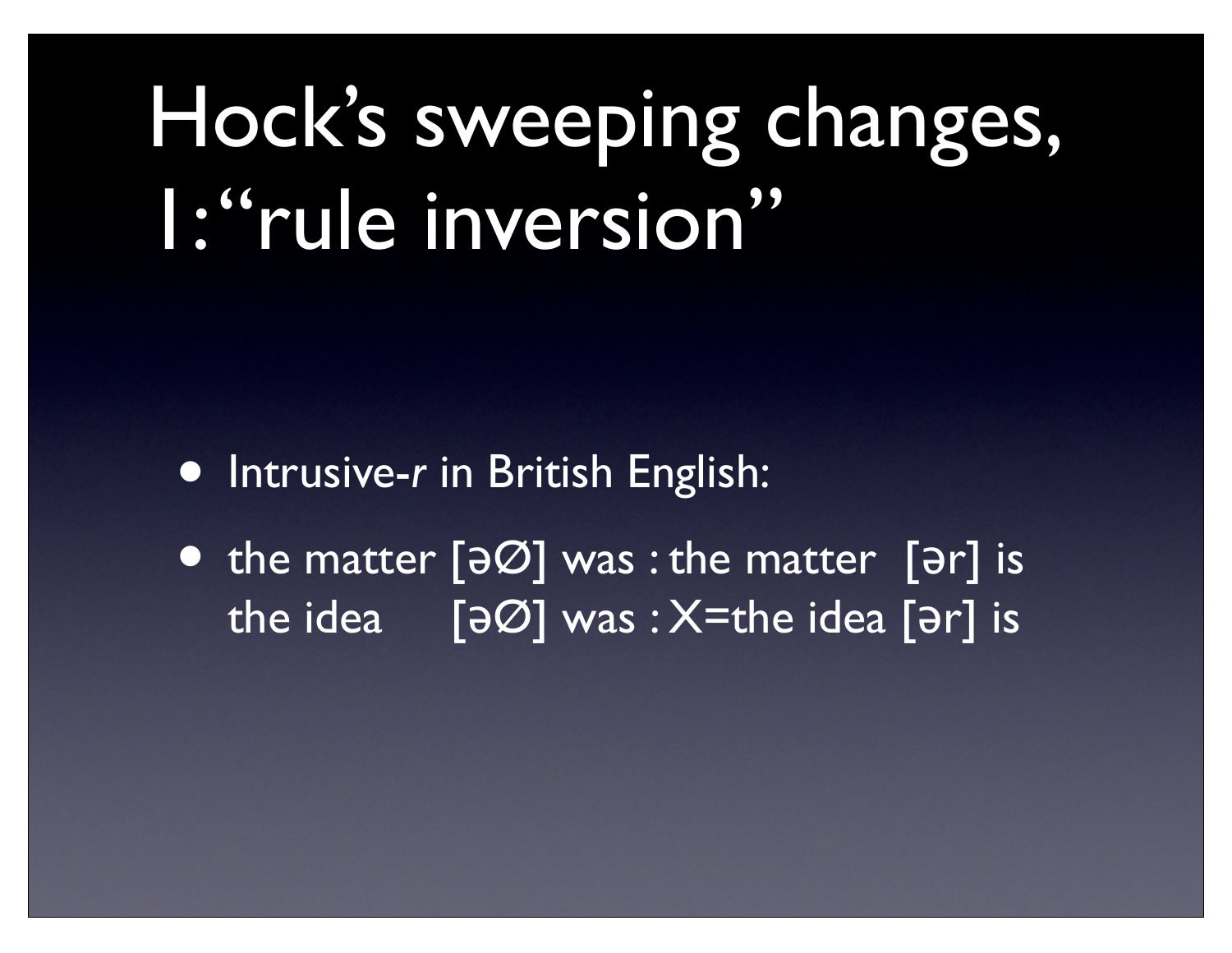#### Hock's sweeping changes, 1: "rule inversion"

- Intrusive-*r* in British English:
- the matter [ $\Theta$ ] was : the matter [ $\Theta$ r] is the idea  $\lceil \frac{1}{2}\frac{1}{2}\sqrt{1-\frac{1}{2}}$  was : X=the idea  $\lceil \frac{1}{2}\sqrt{1-\frac{1}{2}}\rceil$  is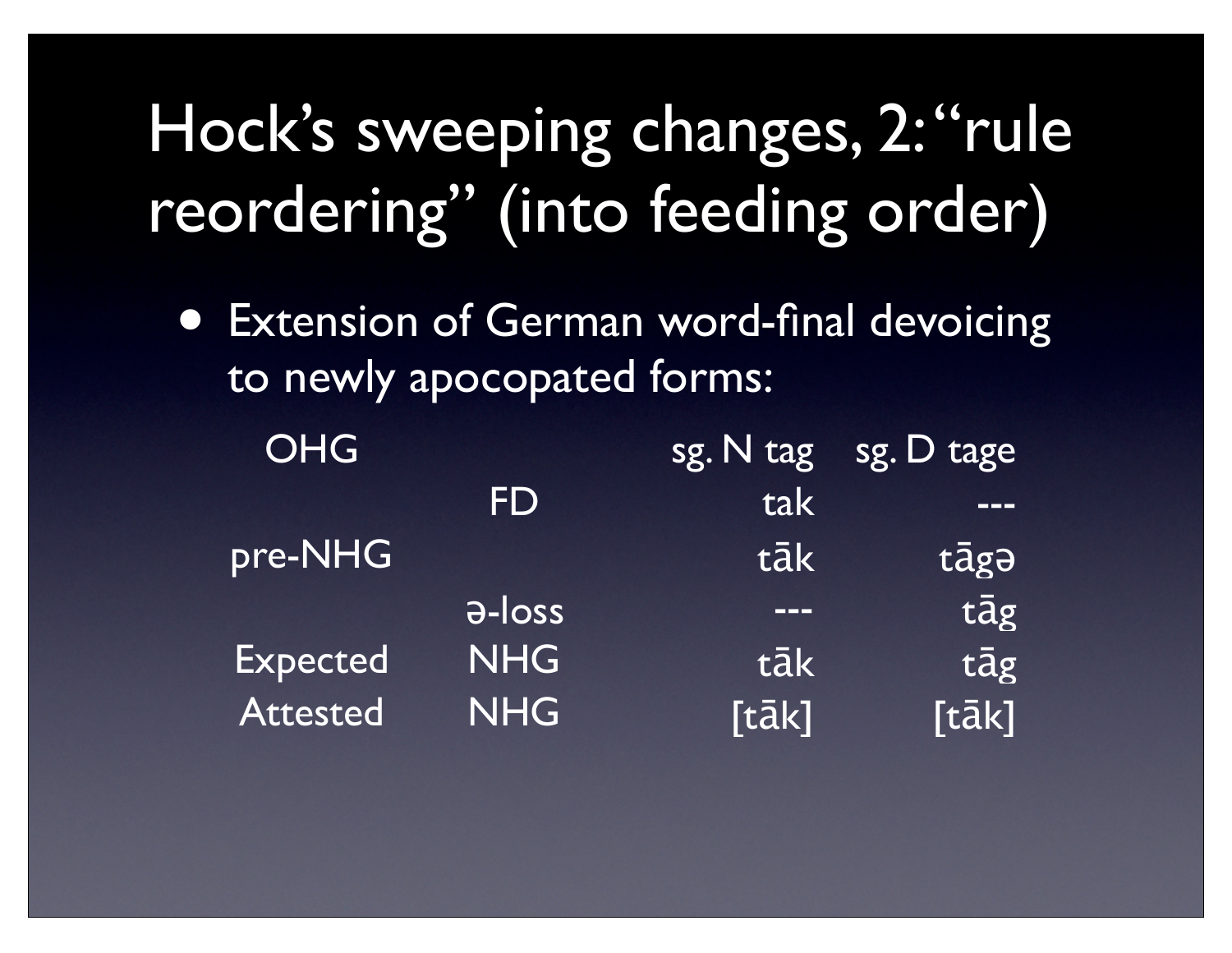#### Hock's sweeping changes, 2: "rule reordering" (into feeding order)

• Extension of German word-final devoicing to newly apocopated forms:

| OHG             |               |               | $sg. N$ tag sg. D tage |
|-----------------|---------------|---------------|------------------------|
|                 | FD            | tak           |                        |
| pre-NHG         |               | tāk           | tāgə                   |
|                 | <b>a-loss</b> | <b>LITTLE</b> | tāg                    |
| <b>Expected</b> | <b>NHG</b>    | tāk           | tāg                    |
| <b>Attested</b> | <b>NHG</b>    | [tāk]         | [tāk]                  |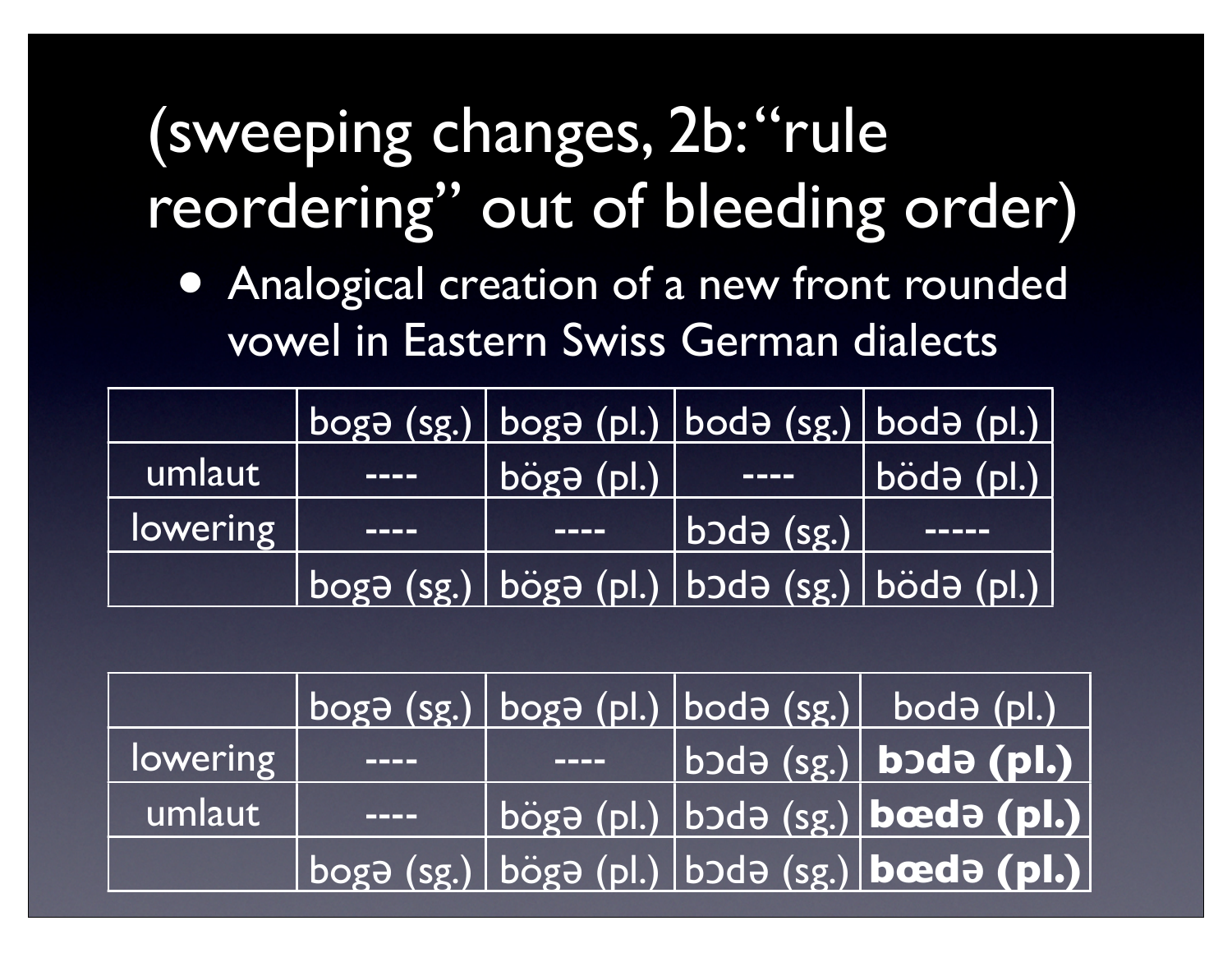#### (sweeping changes, 2b: "rule reordering" out of bleeding order)

• Analogical creation of a new front rounded vowel in Eastern Swiss German dialects

|          |                      |                   | $\log\left(\frac{1}{2}$ (sg.) boga (pl.) boda (sg.) boda (pl.) |                            |
|----------|----------------------|-------------------|----------------------------------------------------------------|----------------------------|
| umlaut   | <u>the community</u> | $ big$ ogə $ p $  | $\qquad \qquad - - - -$                                        | $\boldsymbol{b}$ ödə (pl.) |
| lowering |                      | <del>er e</del> n | $bold{b}$ də (sg.) $\vert$                                     |                            |
|          |                      |                   | boga (sg.) böga (pl.) boda (sg.) böda (pl.)                    |                            |

|          |                   |             | $\log$ boga (sg.) boga (pl.) boda (sg.) boda (pl.)                            |
|----------|-------------------|-------------|-------------------------------------------------------------------------------|
| lowering |                   | <u>mana</u> | $\overline{\left  \right.}$ bodə (sg.) bodə (pl.) $\overline{\left  \right.}$ |
| umlaut   | <b>CONTRACTOR</b> |             | bögə (pl.) bodə (sg.) bodə (pl.)                                              |
|          |                   |             | $\log$ boga (sg.) böga (pl.) boda (sg.) bæda (pl.)                            |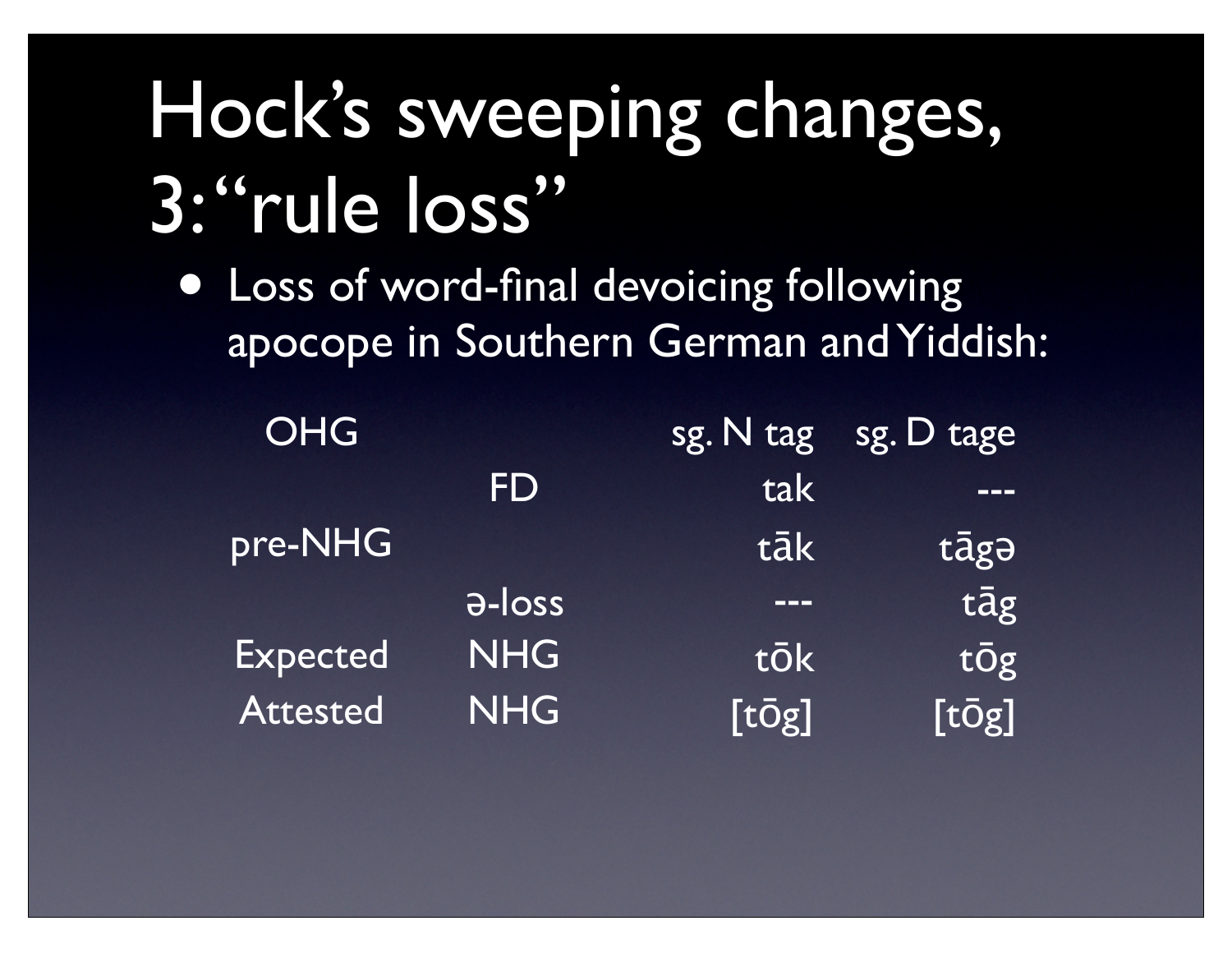#### Hock's sweeping changes, 3: "rule loss"

• Loss of word-final devoicing following apocope in Southern German and Yiddish:

| <b>OHG</b>      |               |               | sg. N tag sg. D tage |
|-----------------|---------------|---------------|----------------------|
|                 | <b>FD</b>     | tak           | ———                  |
| pre-NHG         |               | tāk           | tāgə                 |
|                 | <b>a-loss</b> | ———           | tāg                  |
| <b>Expected</b> | <b>NHG</b>    | tōk           | tŌg                  |
| <b>Attested</b> | <b>NHG</b>    | $[t\bar{O}g]$ | $[t\bar{O}g]$        |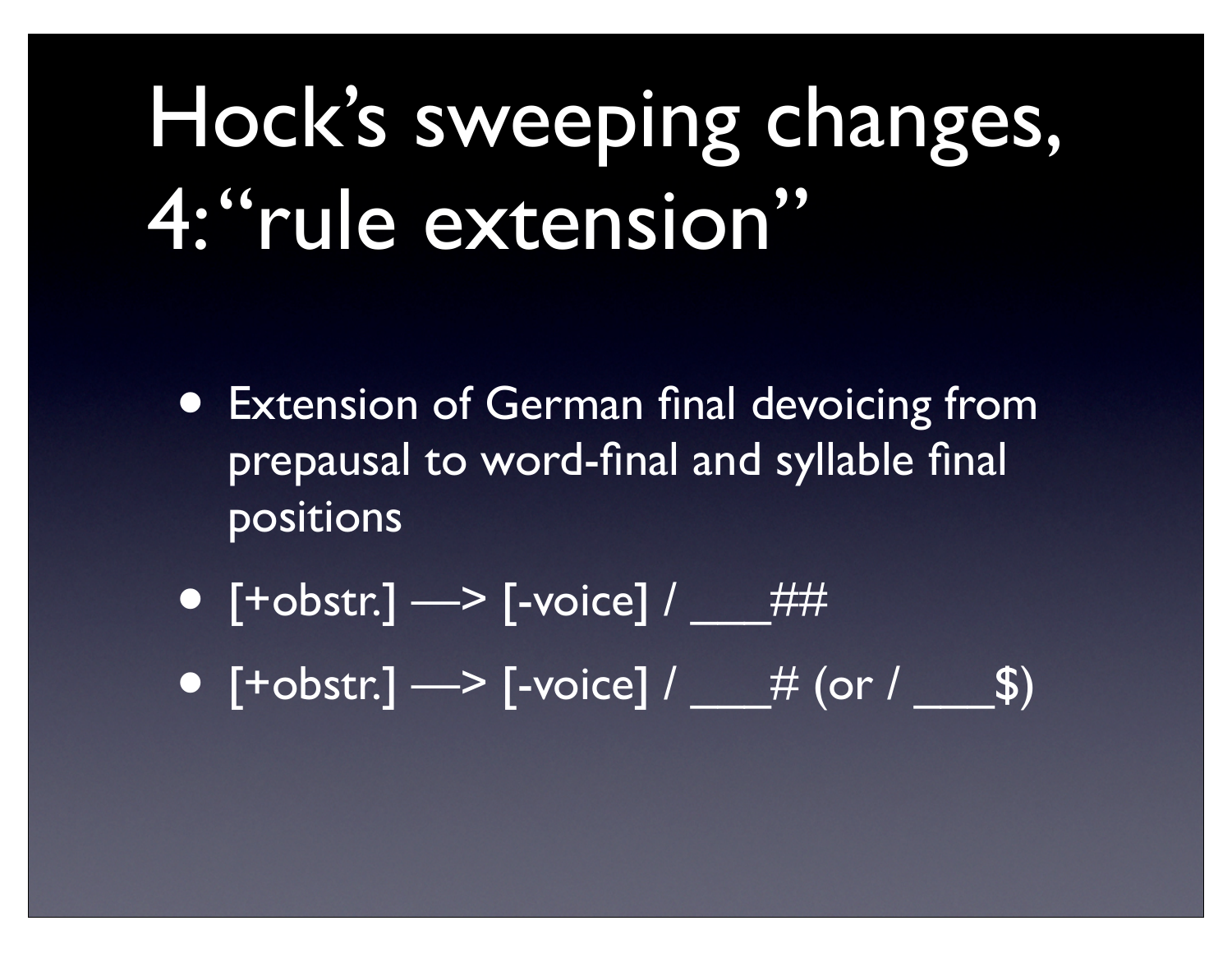#### Hock's sweeping changes, 4: "rule extension"

- Extension of German final devoicing from prepausal to word-final and syllable final positions
- $[+{\rm obstr.}] \longrightarrow [-{\rm voice}] /$  ##
- $[+{\rm obstr.}] \longrightarrow {\rm [}-{\rm voice]} /$   $\#$  (or /  $\$)$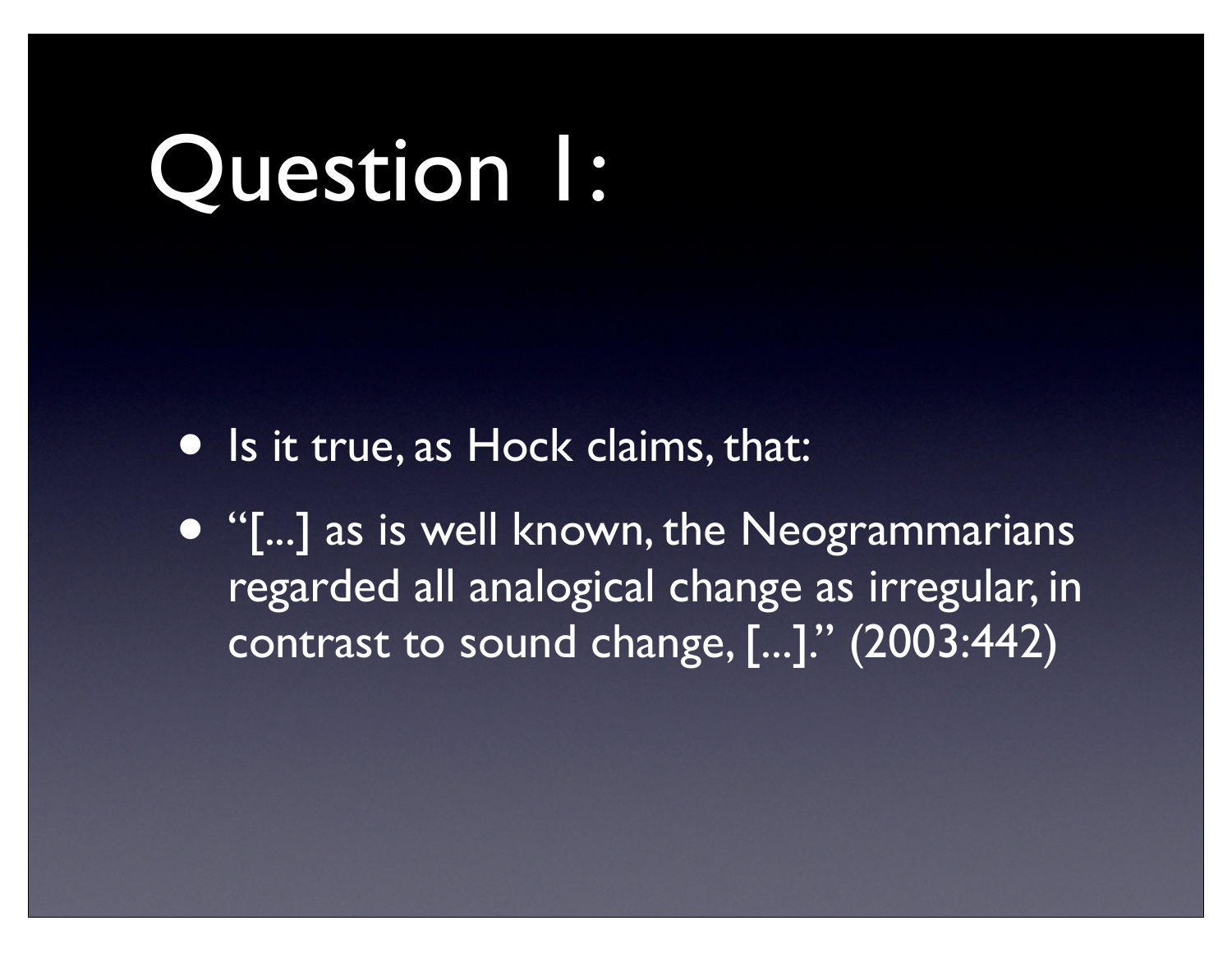### Question 1:

- Is it true, as Hock claims, that:
- "[...] as is well known, the Neogrammarians regarded all analogical change as irregular, in contrast to sound change, [...]." (2003:442)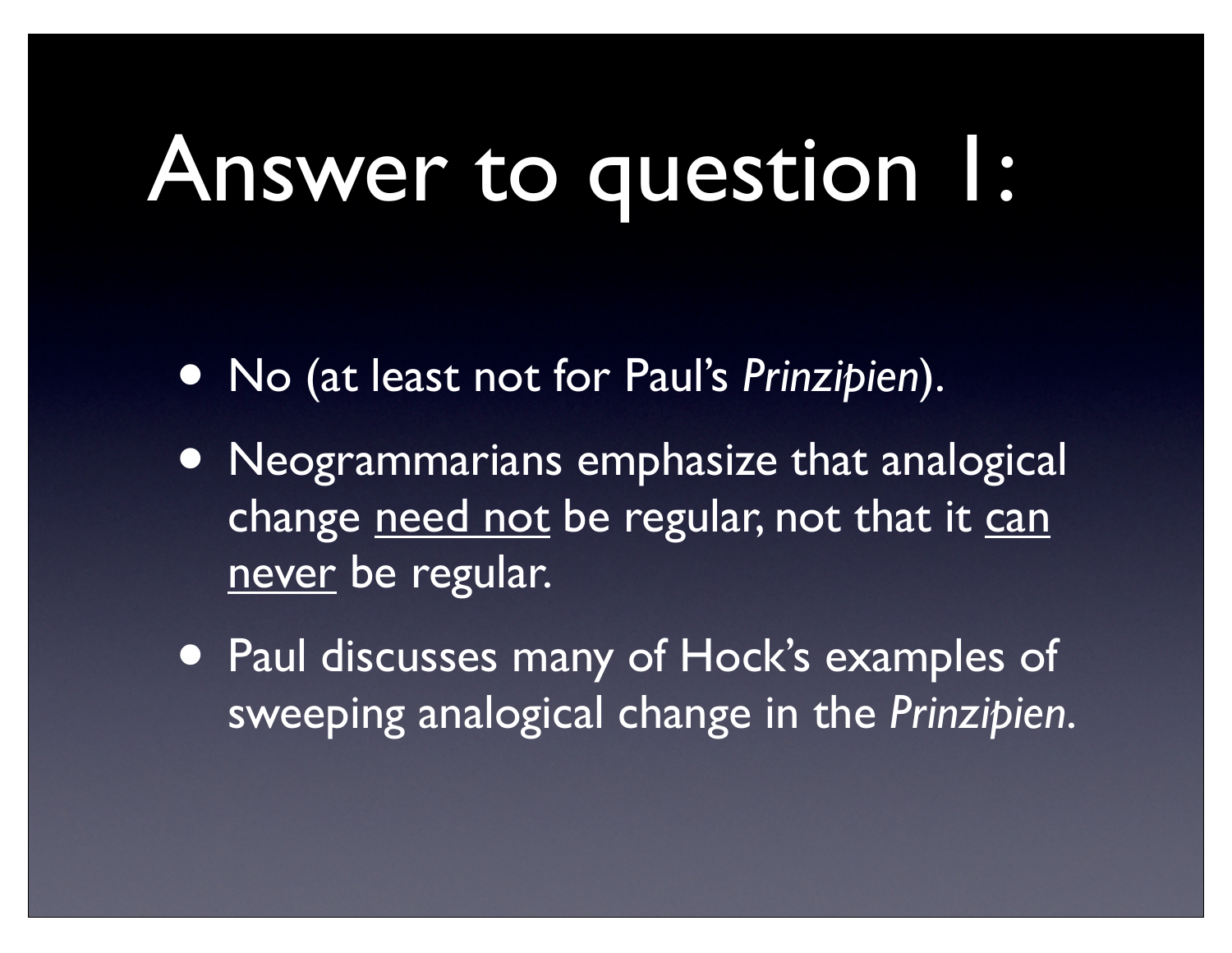## Answer to question 1:

- No (at least not for Paul's *Prinzipien*).
- Neogrammarians emphasize that analogical change need not be regular, not that it can never be regular.
- Paul discusses many of Hock's examples of sweeping analogical change in the *Prinzipien*.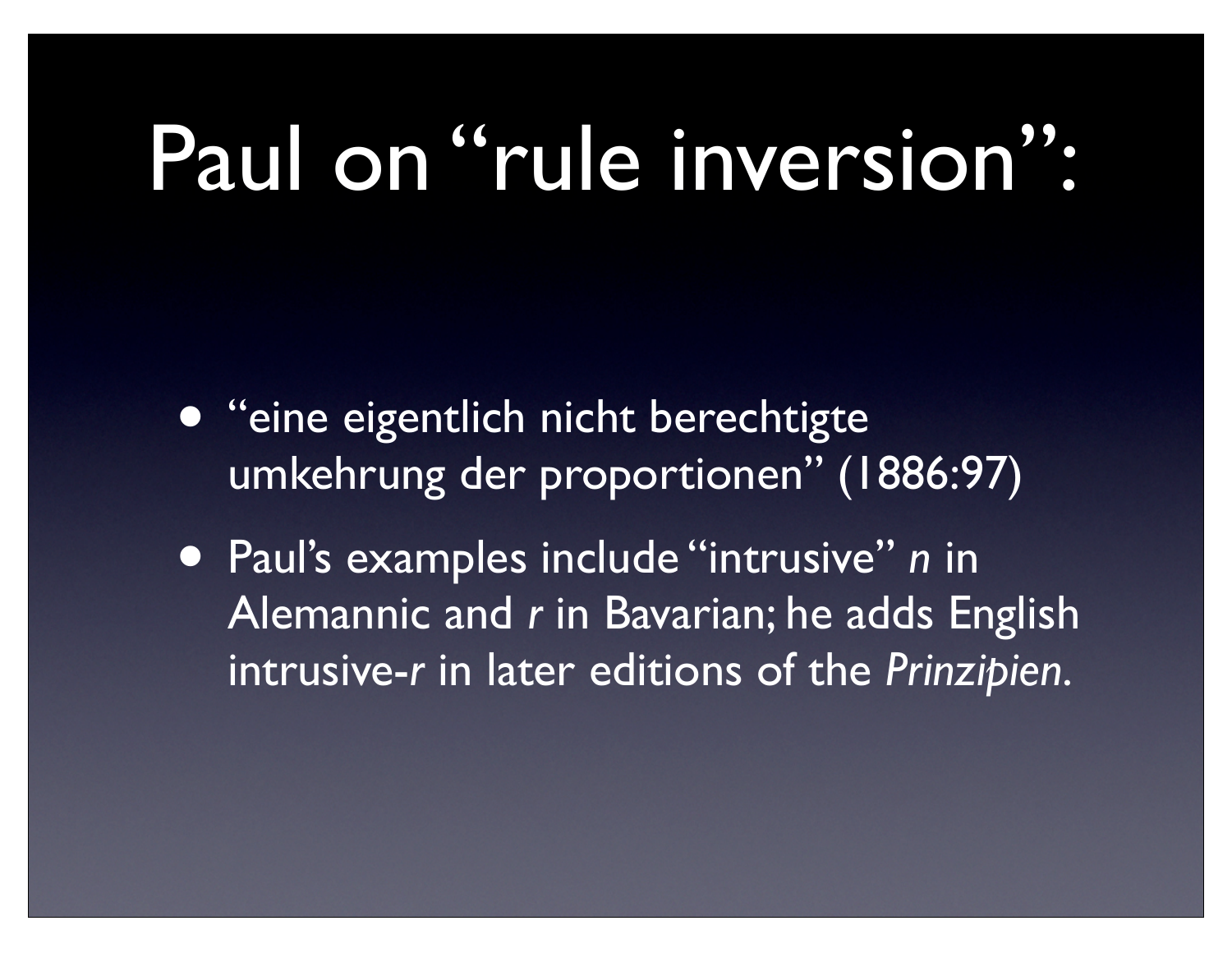#### Paul on "rule inversion":

- "eine eigentlich nicht berechtigte umkehrung der proportionen" (1886:97)
- Paul's examples include "intrusive" *n* in Alemannic and *r* in Bavarian; he adds English intrusive-*r* in later editions of the *Prinzipien*.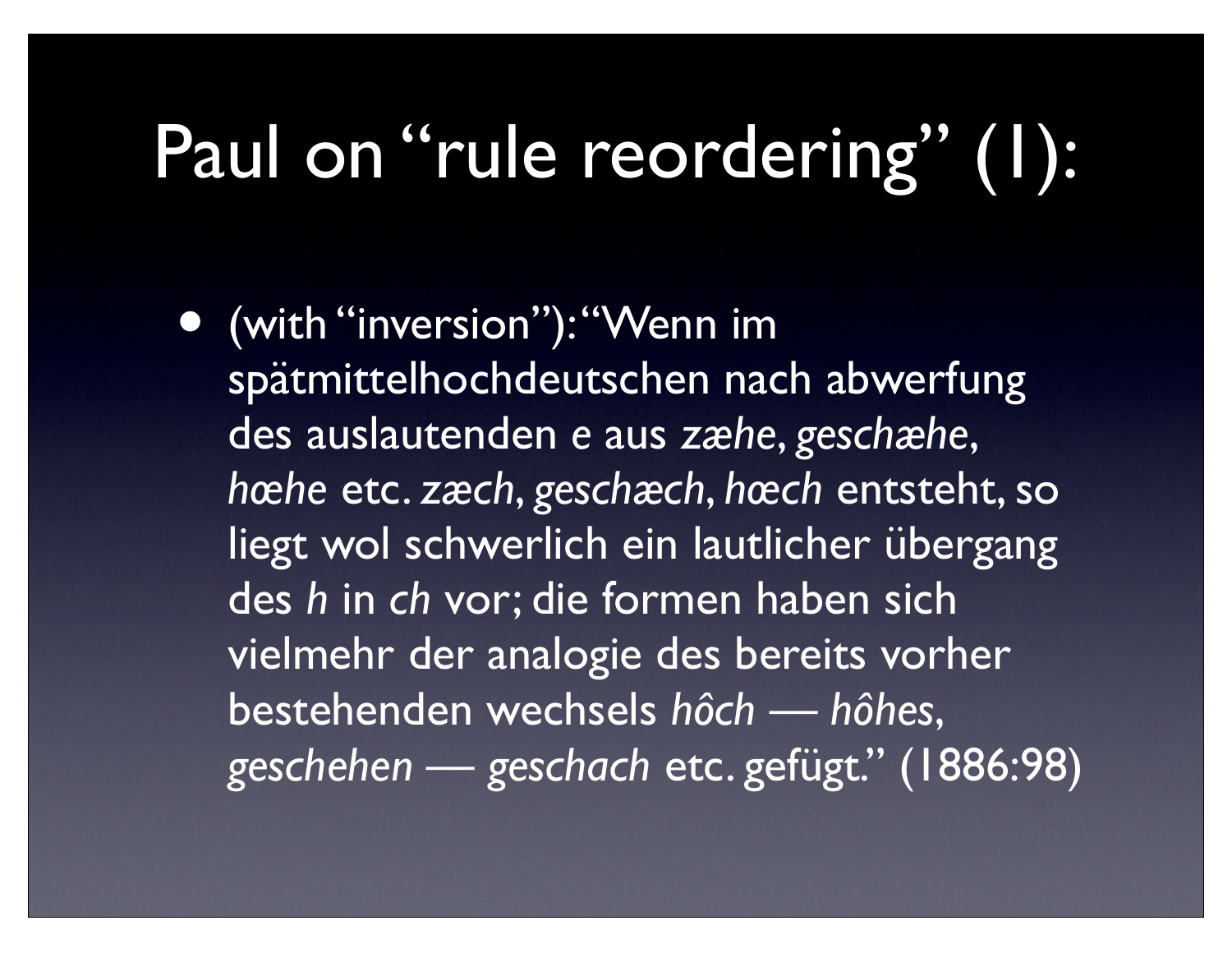#### Paul on "rule reordering" (1):

• (with "inversion"): "Wenn im spätmittelhochdeutschen nach abwerfung des auslautenden *e* aus *zæhe*, *geschæhe*, *hœhe* etc. *zæch*, *geschæch*, *hœch* entsteht, so liegt wol schwerlich ein lautlicher übergang des *h* in *ch* vor; die formen haben sich vielmehr der analogie des bereits vorher bestehenden wechsels *hôch* — *hôhes*, *geschehen* — *geschach* etc. gefügt." (1886:98)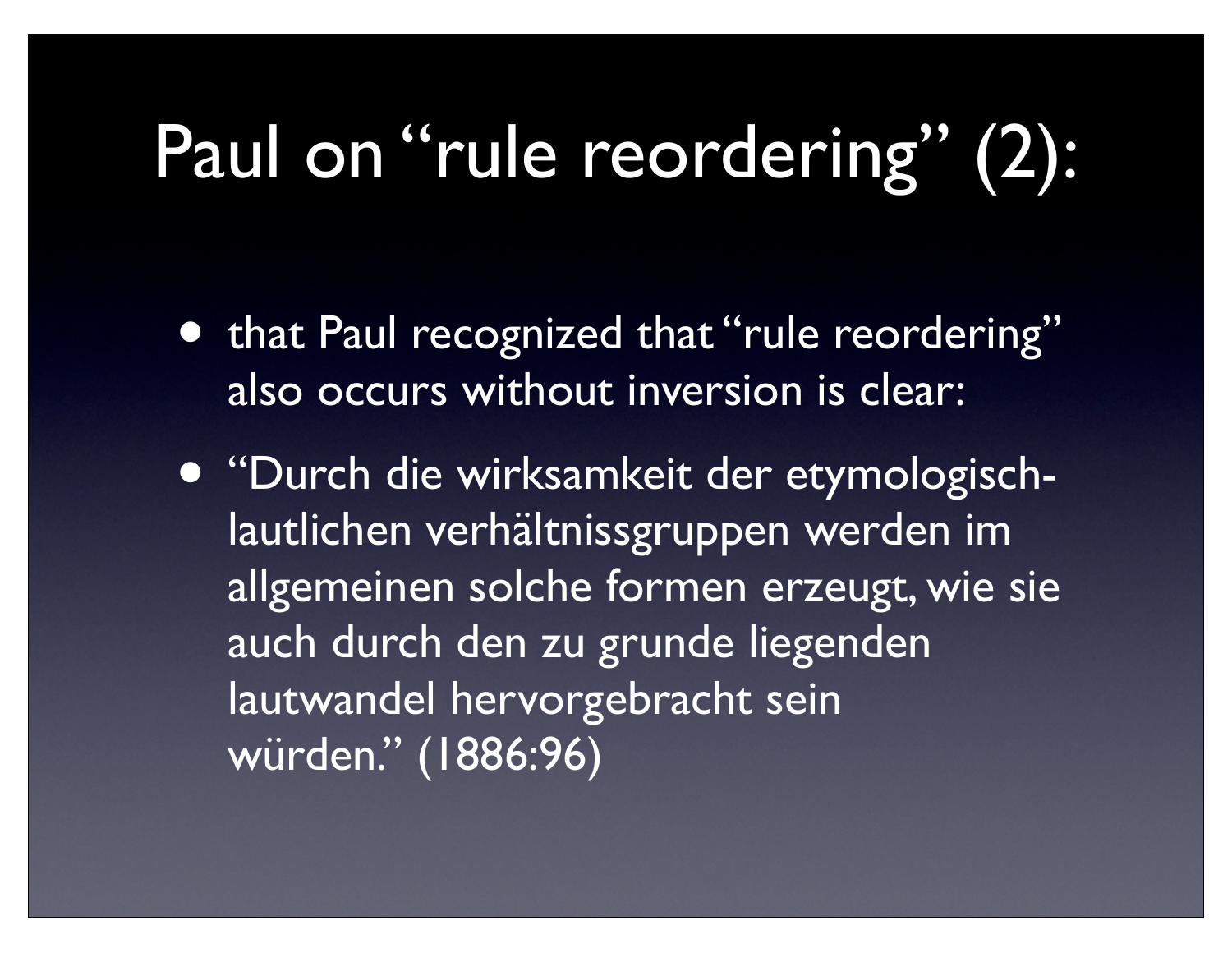#### Paul on "rule reordering" (2):

- **that Paul recognized that "rule reordering"** also occurs without inversion is clear:
- "Durch die wirksamkeit der etymologischlautlichen verhältnissgruppen werden im allgemeinen solche formen erzeugt, wie sie auch durch den zu grunde liegenden lautwandel hervorgebracht sein würden." (1886:96)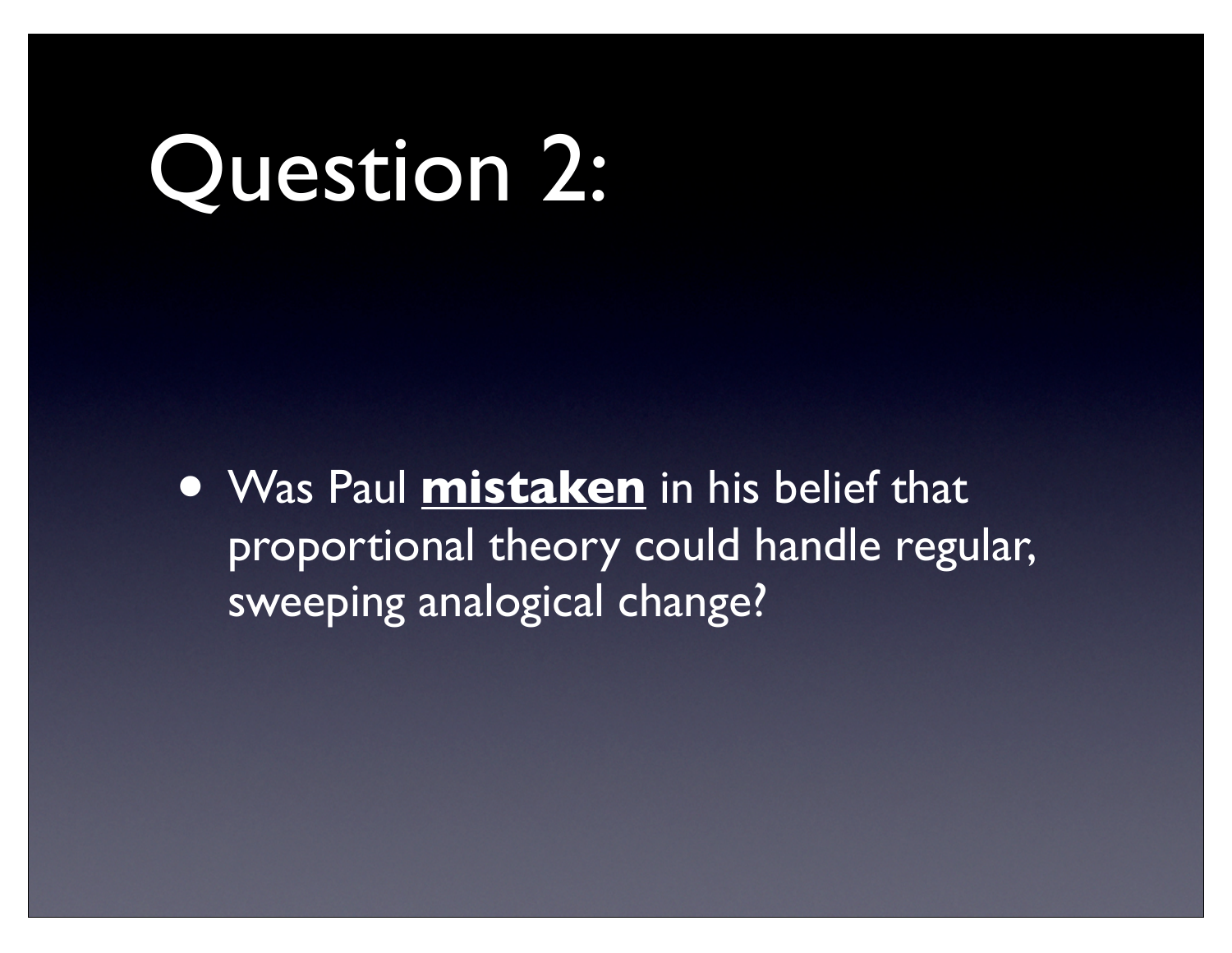### Question 2:

• Was Paul **mistaken** in his belief that proportional theory could handle regular, sweeping analogical change?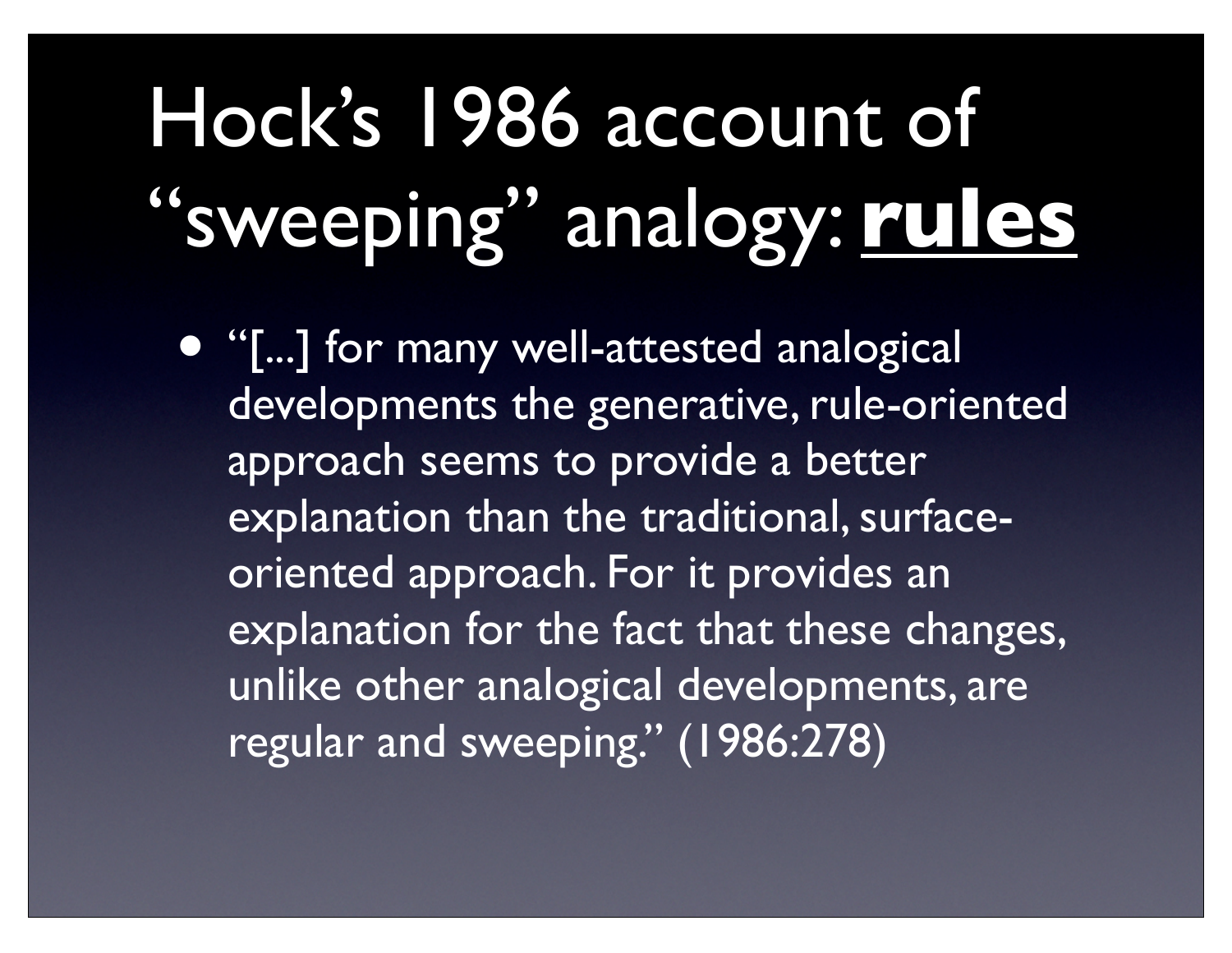## Hock's 1986 account of "sweeping" analogy: **rules**

• "[...] for many well-attested analogical developments the generative, rule-oriented approach seems to provide a better explanation than the traditional, surfaceoriented approach. For it provides an explanation for the fact that these changes, unlike other analogical developments, are regular and sweeping." (1986:278)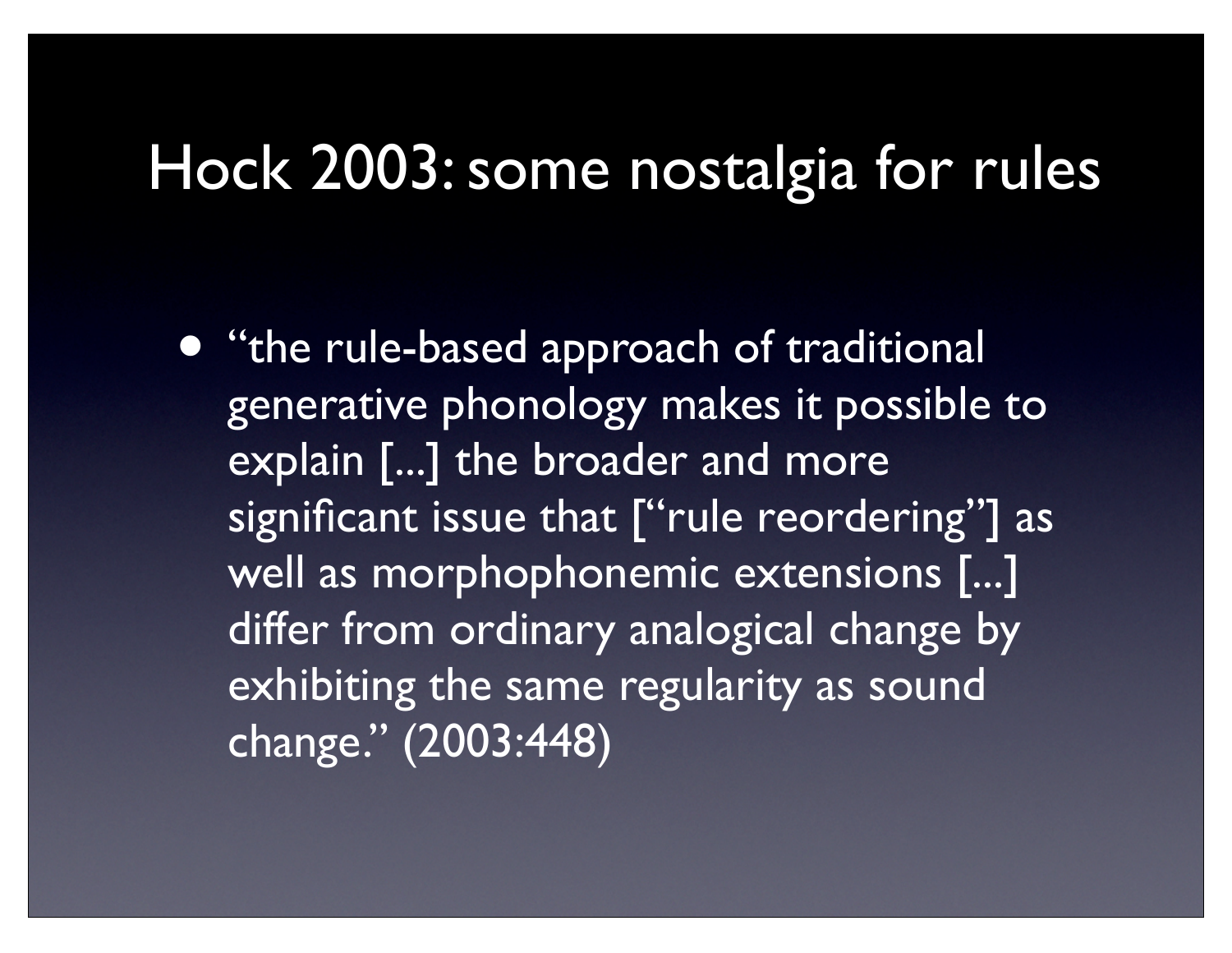#### Hock 2003: some nostalgia for rules

• "the rule-based approach of traditional generative phonology makes it possible to explain [...] the broader and more significant issue that ["rule reordering"] as well as morphophonemic extensions [...] differ from ordinary analogical change by exhibiting the same regularity as sound change." (2003:448)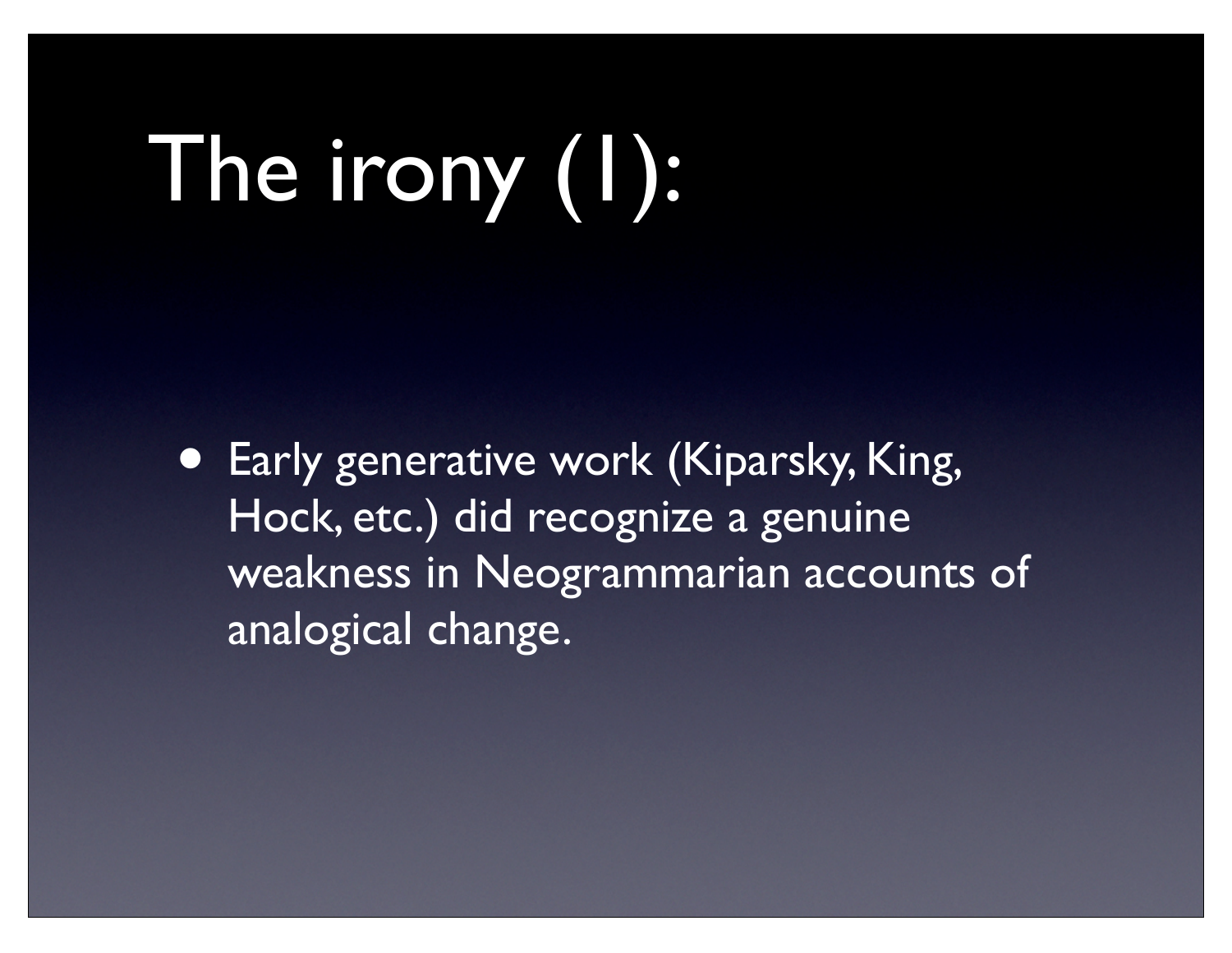# The irony (1):

• Early generative work (Kiparsky, King, Hock, etc.) did recognize a genuine weakness in Neogrammarian accounts of analogical change.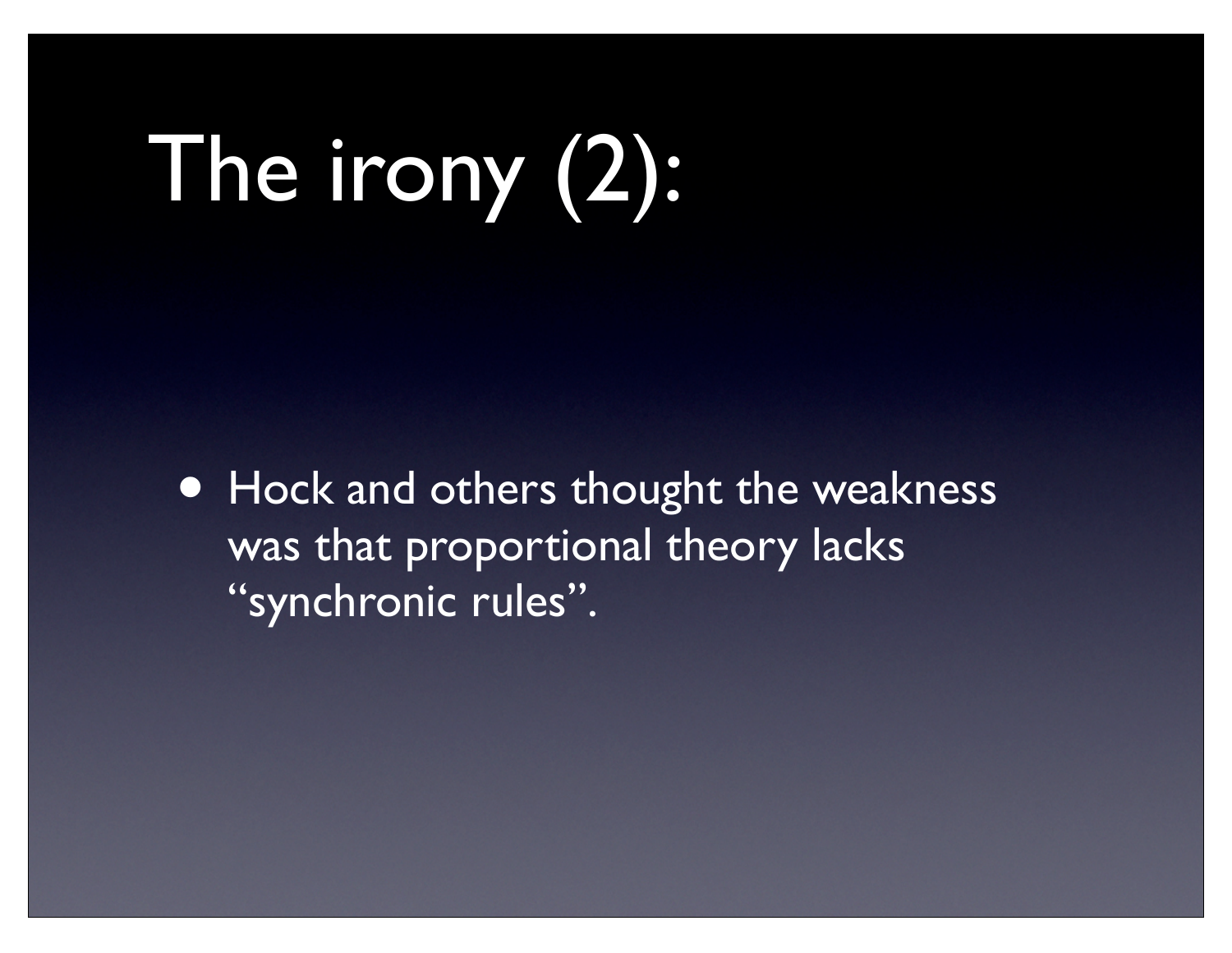# The irony (2):

• Hock and others thought the weakness was that proportional theory lacks "synchronic rules".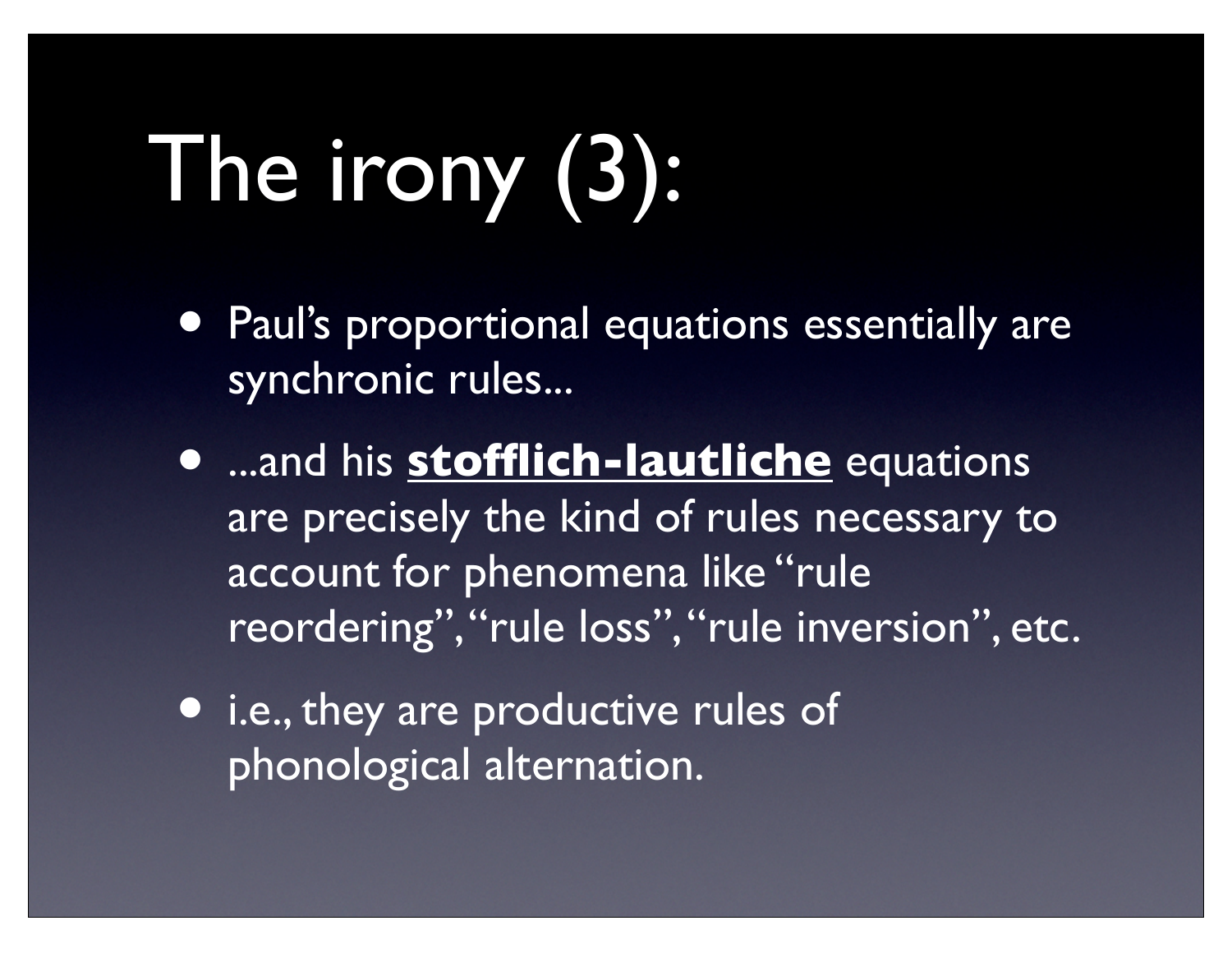# The irony (3):

- Paul's proportional equations essentially are synchronic rules...
- ...and his **stofflich-lautliche** equations are precisely the kind of rules necessary to account for phenomena like "rule reordering", "rule loss", "rule inversion", etc.
- **•** i.e., they are productive rules of phonological alternation.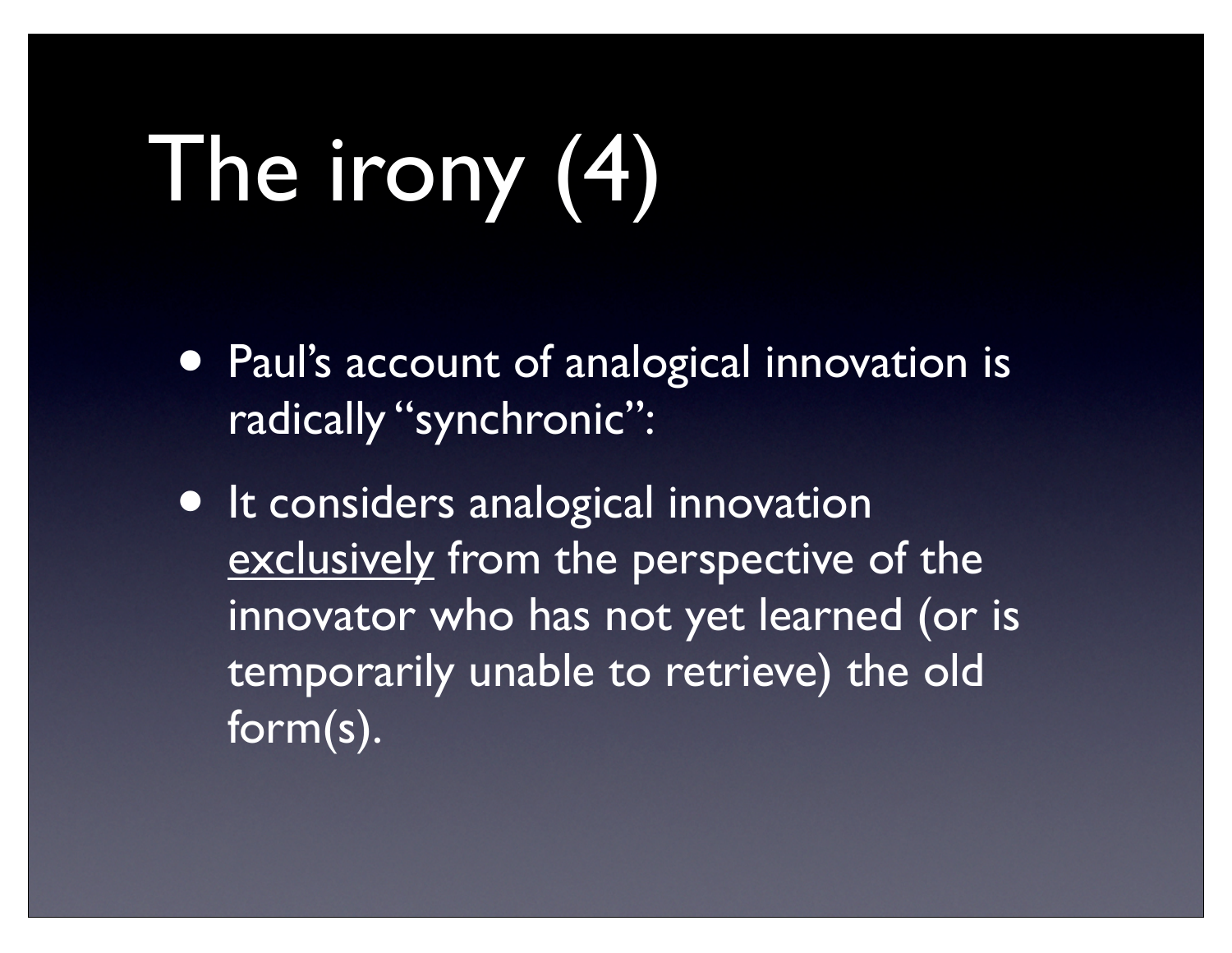# The irony (4)

- Paul's account of analogical innovation is radically "synchronic":
- **It considers analogical innovation** exclusively from the perspective of the innovator who has not yet learned (or is temporarily unable to retrieve) the old form(s).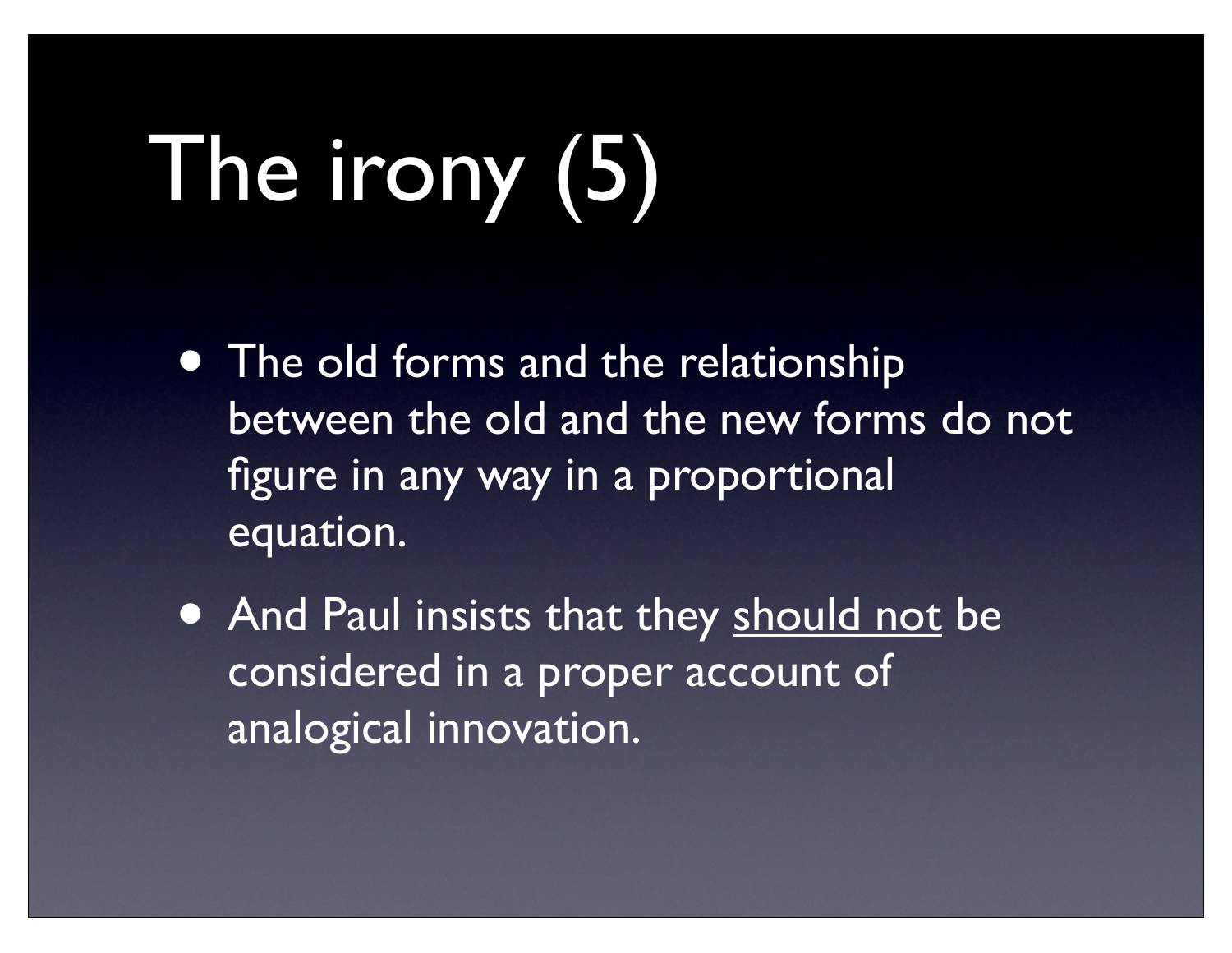# The irony (5)

- The old forms and the relationship between the old and the new forms do not figure in any way in a proportional equation.
- And Paul insists that they should not be considered in a proper account of analogical innovation.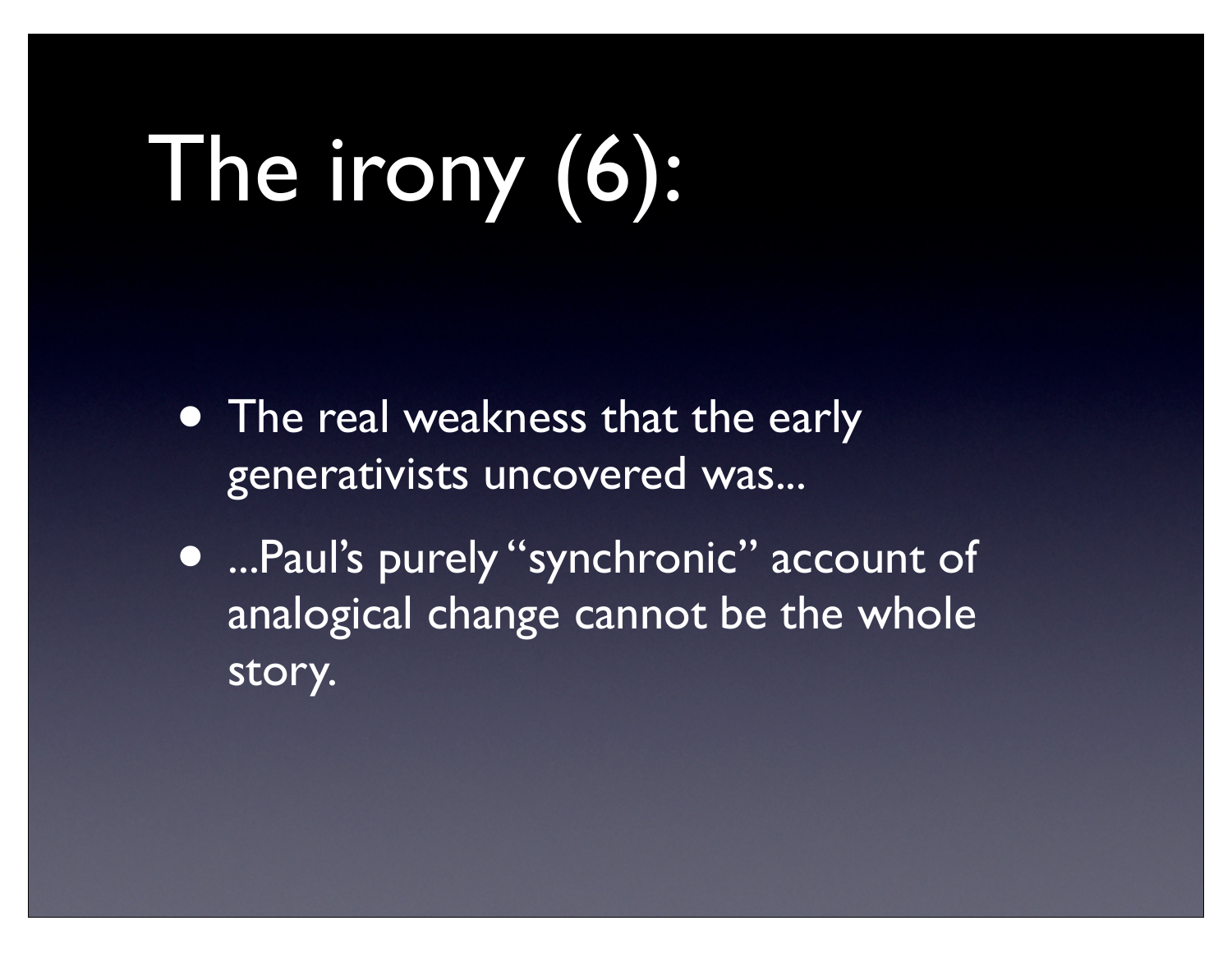# The irony (6):

- The real weakness that the early generativists uncovered was...
- ...Paul's purely "synchronic" account of analogical change cannot be the whole story.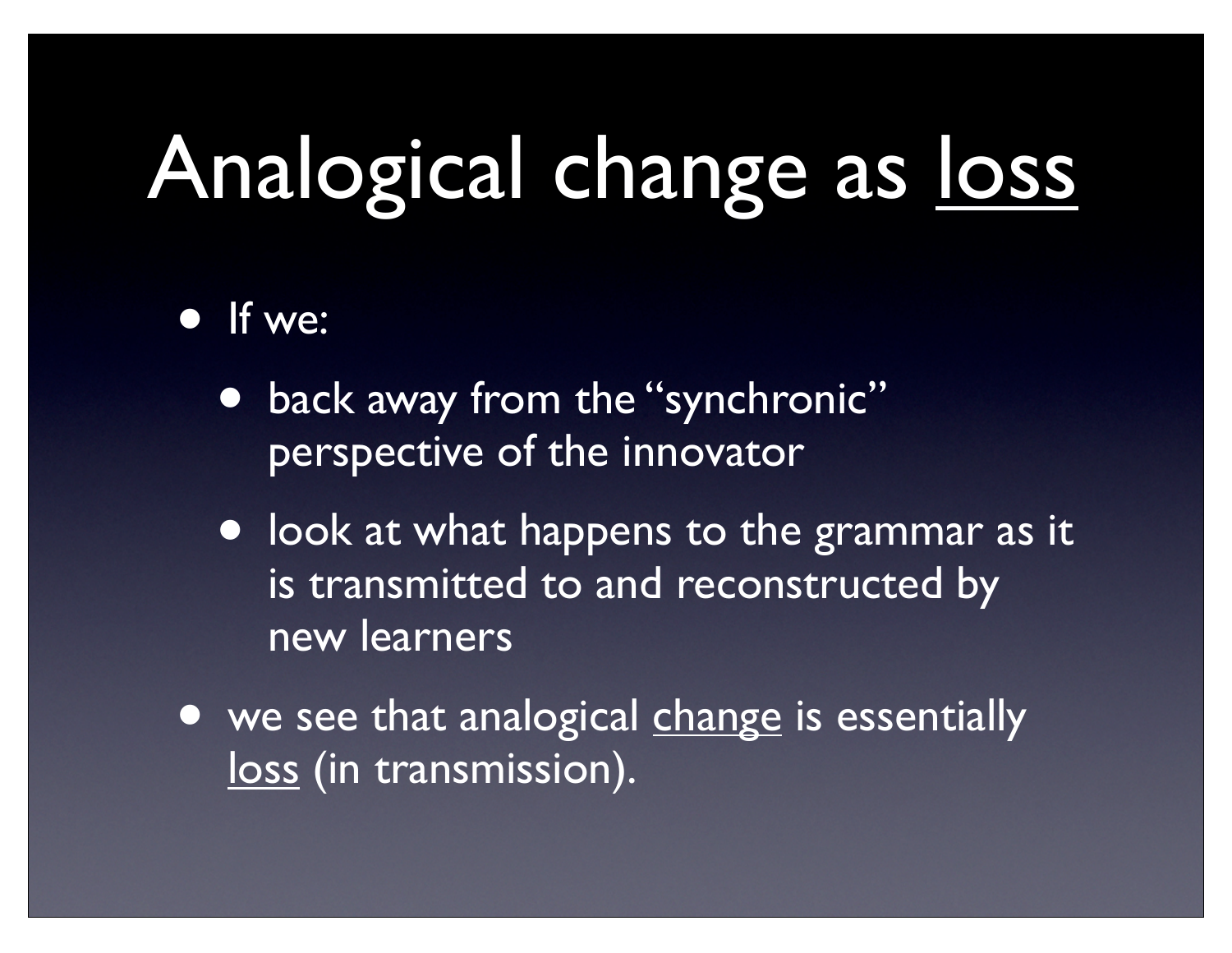### Analogical change as loss

- If we:
	- back away from the "synchronic" perspective of the innovator
	- look at what happens to the grammar as it is transmitted to and reconstructed by new learners
- we see that analogical change is essentially loss (in transmission).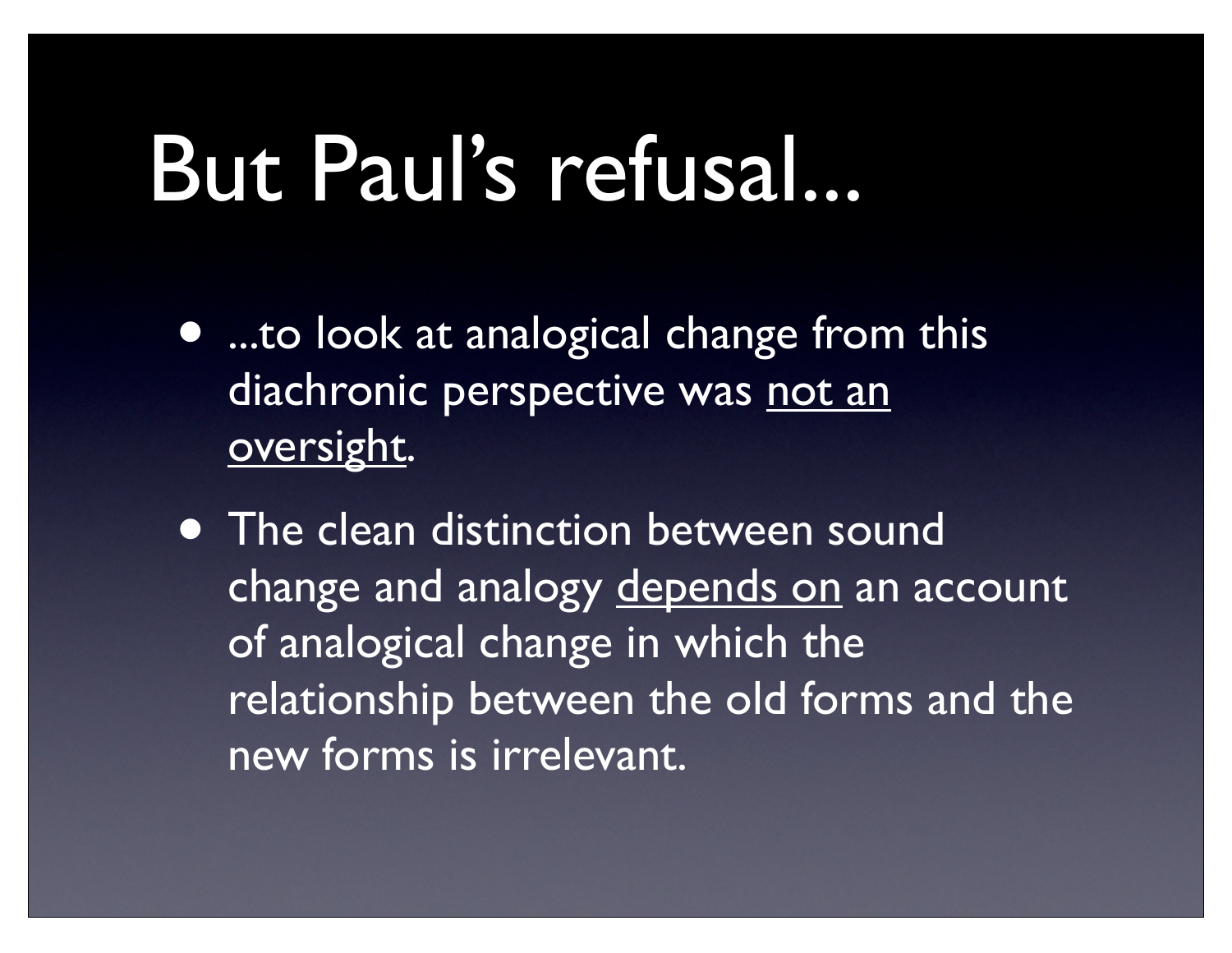#### But Paul's refusal...

- ...to look at analogical change from this diachronic perspective was not an oversight.
- The clean distinction between sound change and analogy depends on an account of analogical change in which the relationship between the old forms and the new forms is irrelevant.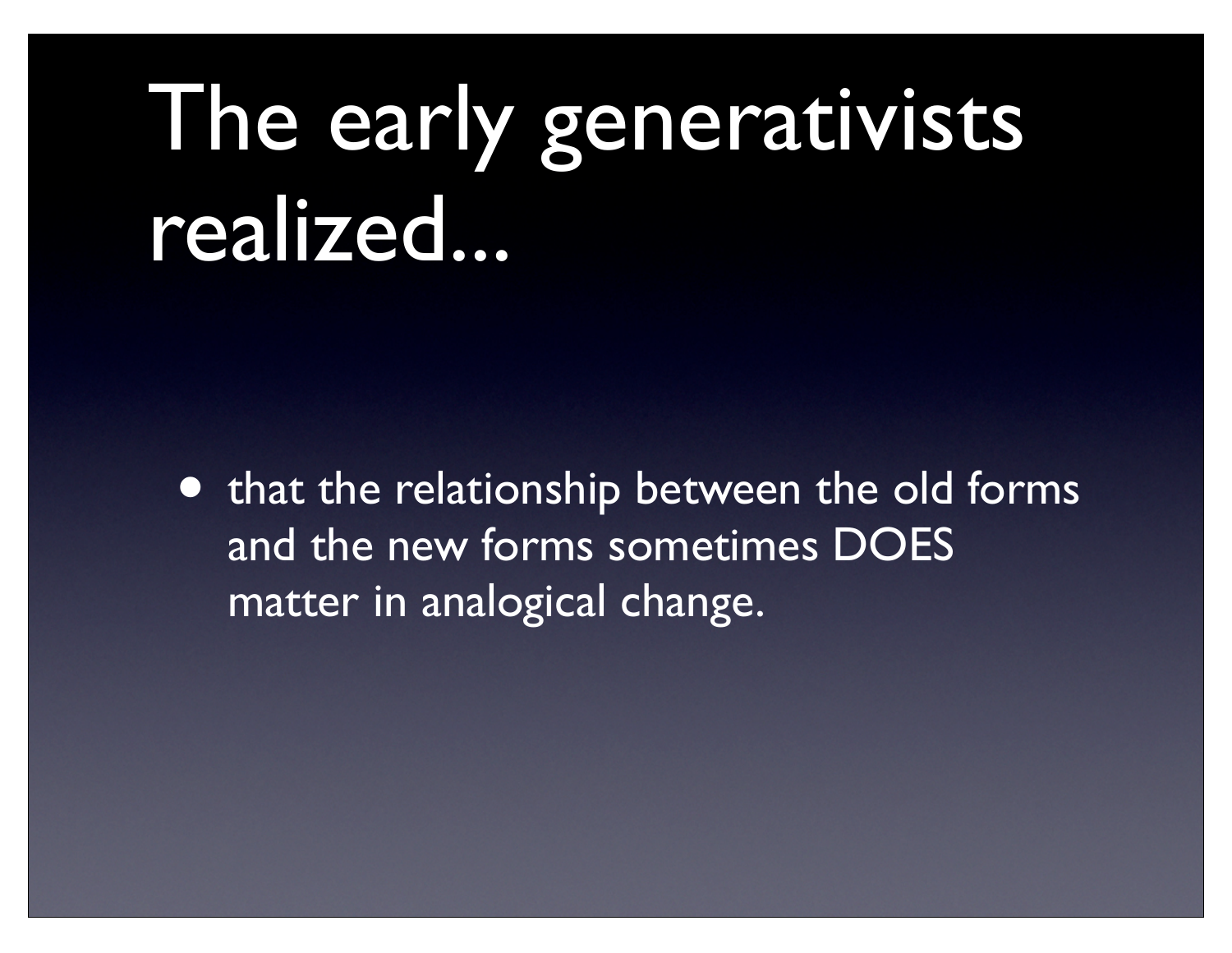## The early generativists realized...

• that the relationship between the old forms and the new forms sometimes DOES matter in analogical change.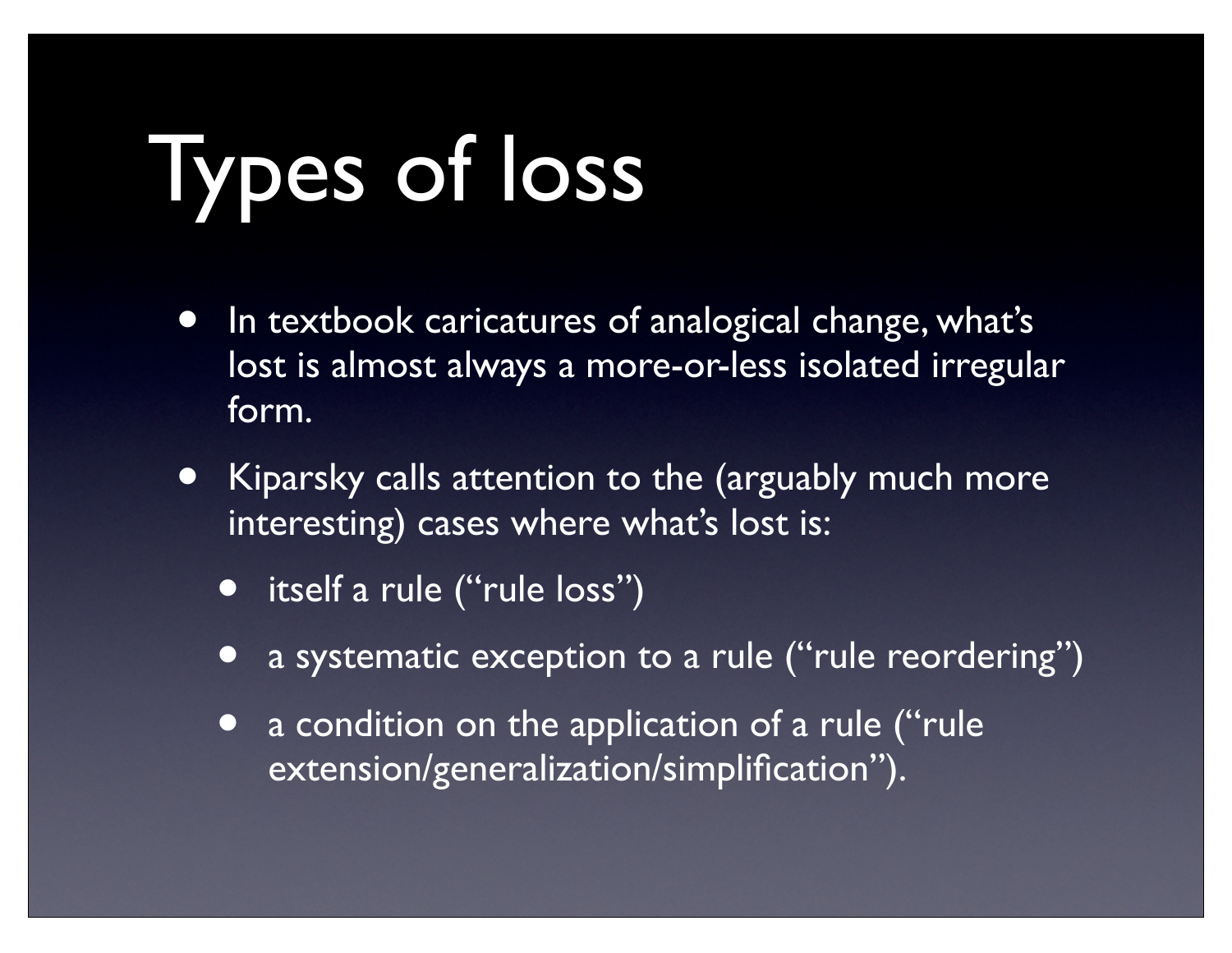# Types of loss

- In textbook caricatures of analogical change, what's lost is almost always a more-or-less isolated irregular form.
- Kiparsky calls attention to the (arguably much more interesting) cases where what's lost is:
	- itself a rule ("rule loss")
	- a systematic exception to a rule ("rule reordering")
	- a condition on the application of a rule ("rule" extension/generalization/simplification").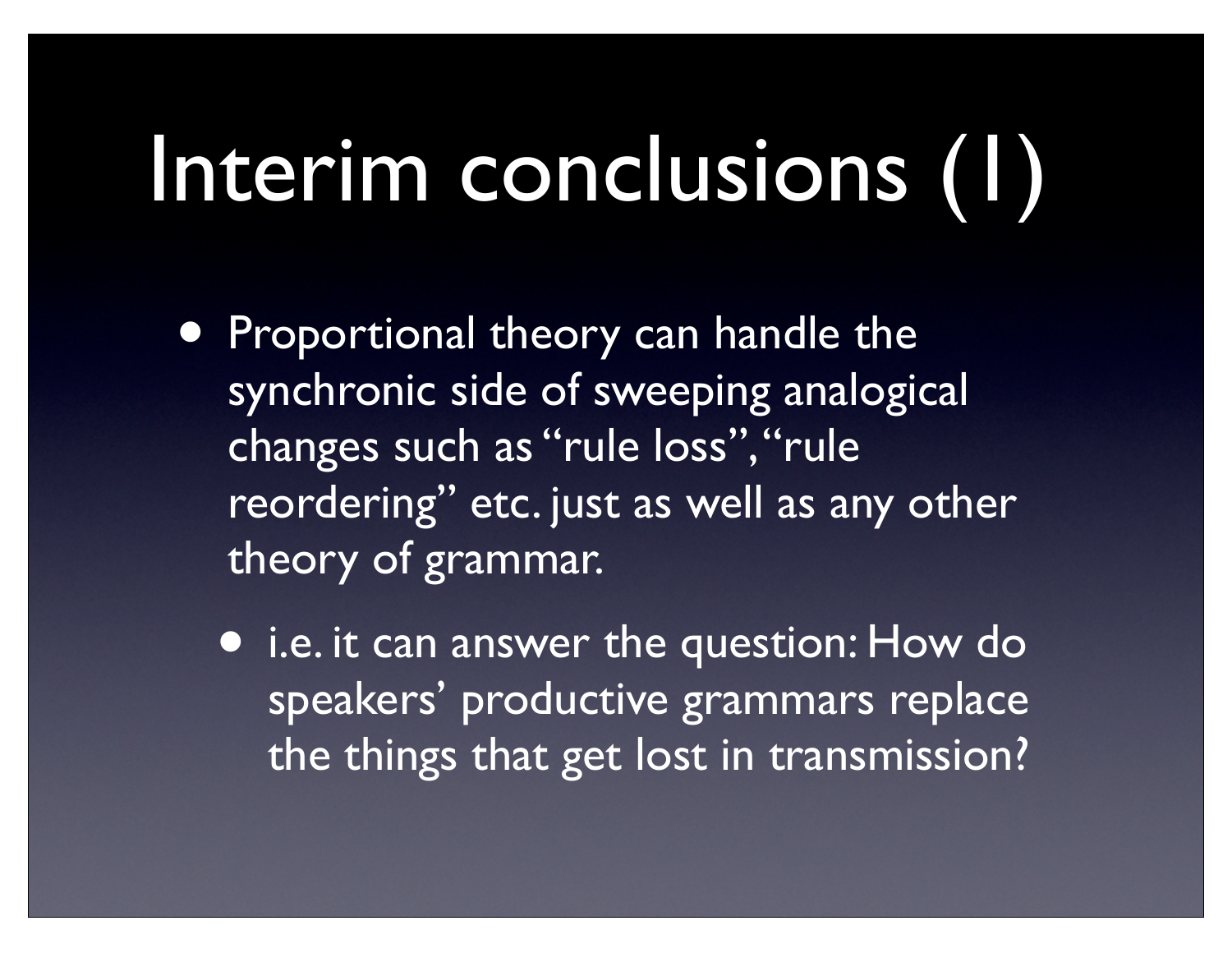# Interim conclusions (1)

- **Proportional theory can handle the** synchronic side of sweeping analogical changes such as "rule loss", "rule reordering" etc. just as well as any other theory of grammar.
	- i.e. it can answer the question: How do speakers' productive grammars replace the things that get lost in transmission?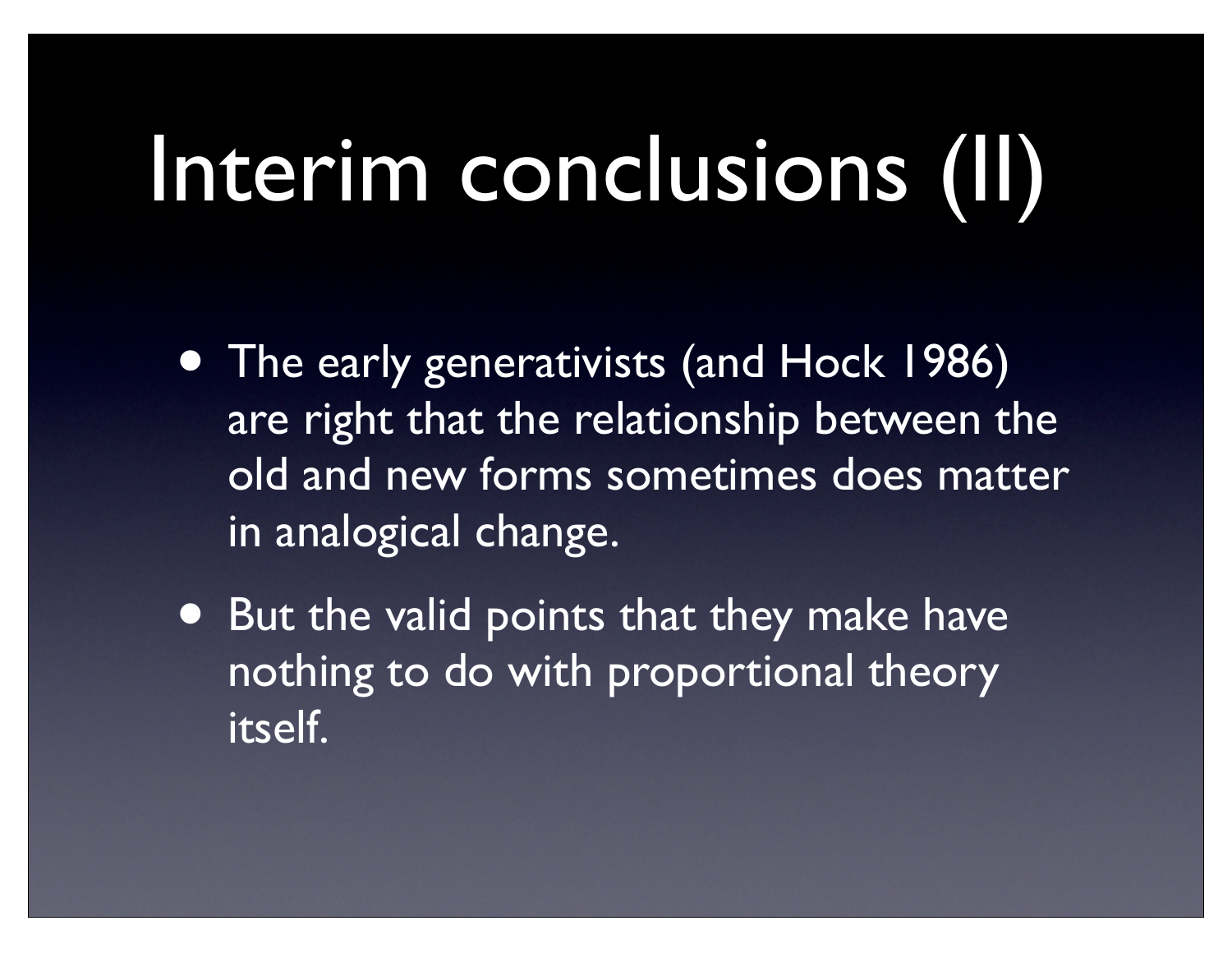# Interim conclusions (II)

- The early generativists (and Hock 1986) are right that the relationship between the old and new forms sometimes does matter in analogical change.
- But the valid points that they make have nothing to do with proportional theory itself.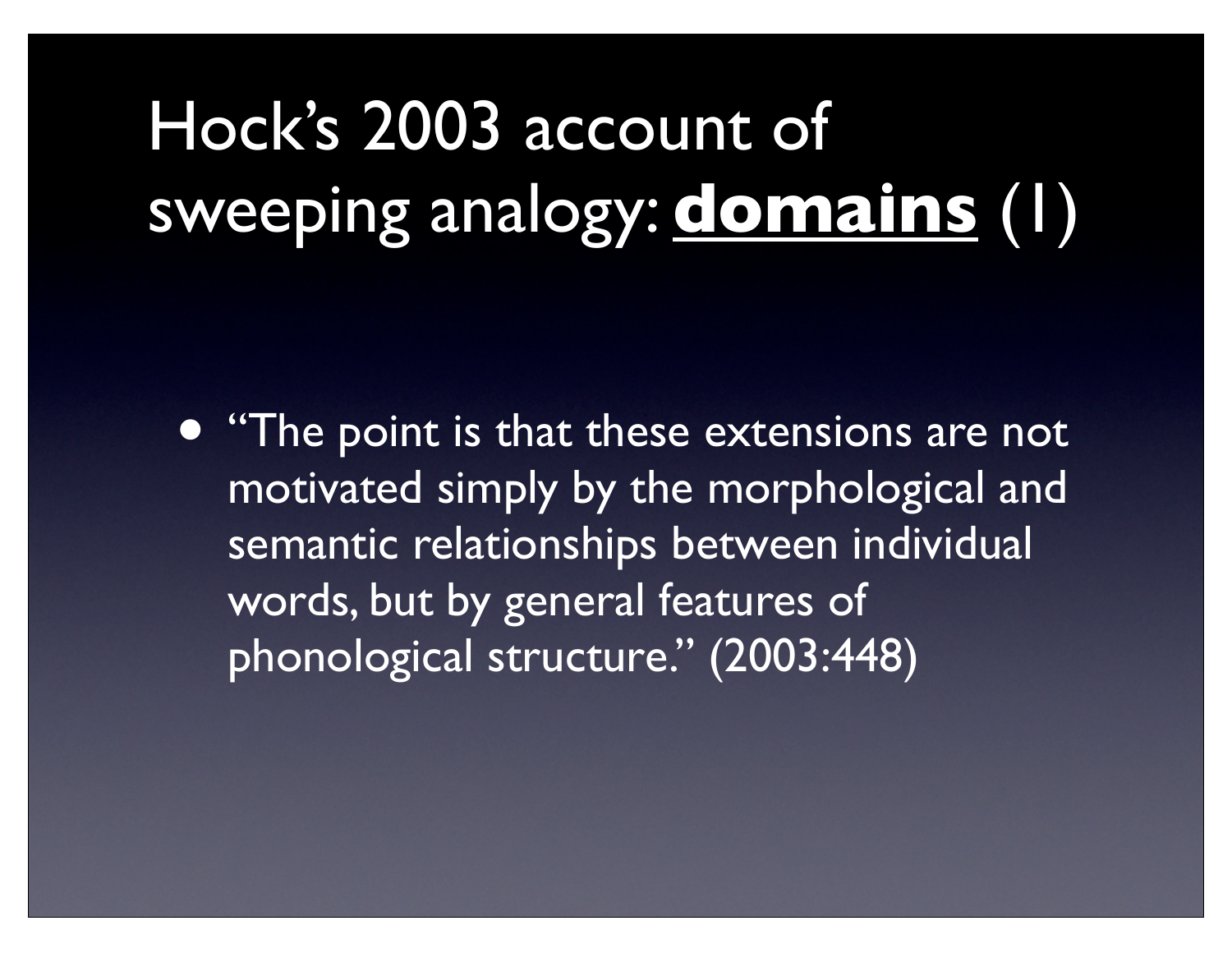#### Hock's 2003 account of sweeping analogy: **domains** (1)

• "The point is that these extensions are not motivated simply by the morphological and semantic relationships between individual words, but by general features of phonological structure." (2003:448)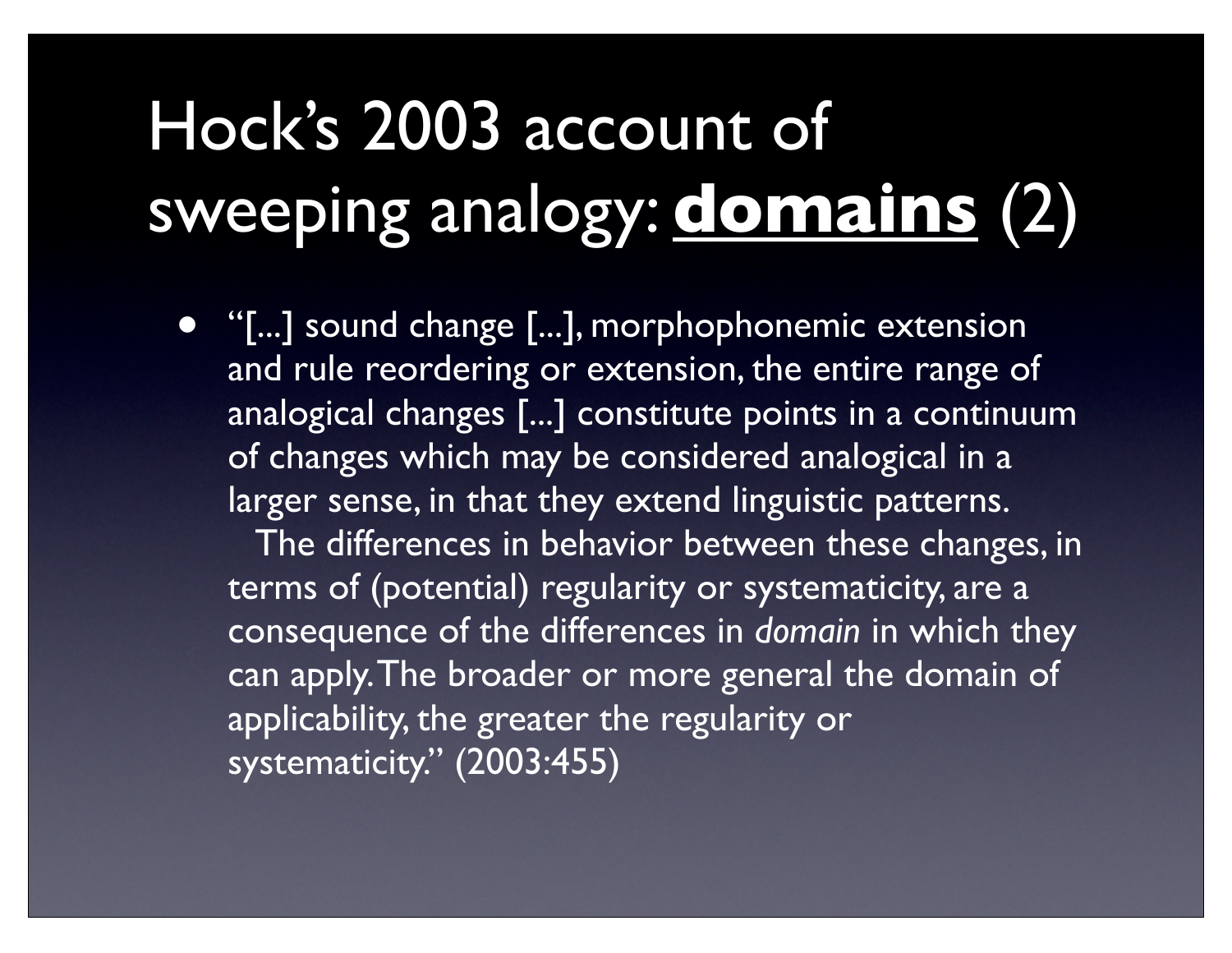#### Hock's 2003 account of sweeping analogy: **domains** (2)

• "[...] sound change [...], morphophonemic extension and rule reordering or extension, the entire range of analogical changes [...] constitute points in a continuum of changes which may be considered analogical in a larger sense, in that they extend linguistic patterns.

The differences in behavior between these changes, in terms of (potential) regularity or systematicity, are a consequence of the differences in *domain* in which they can apply. The broader or more general the domain of applicability, the greater the regularity or systematicity." (2003:455)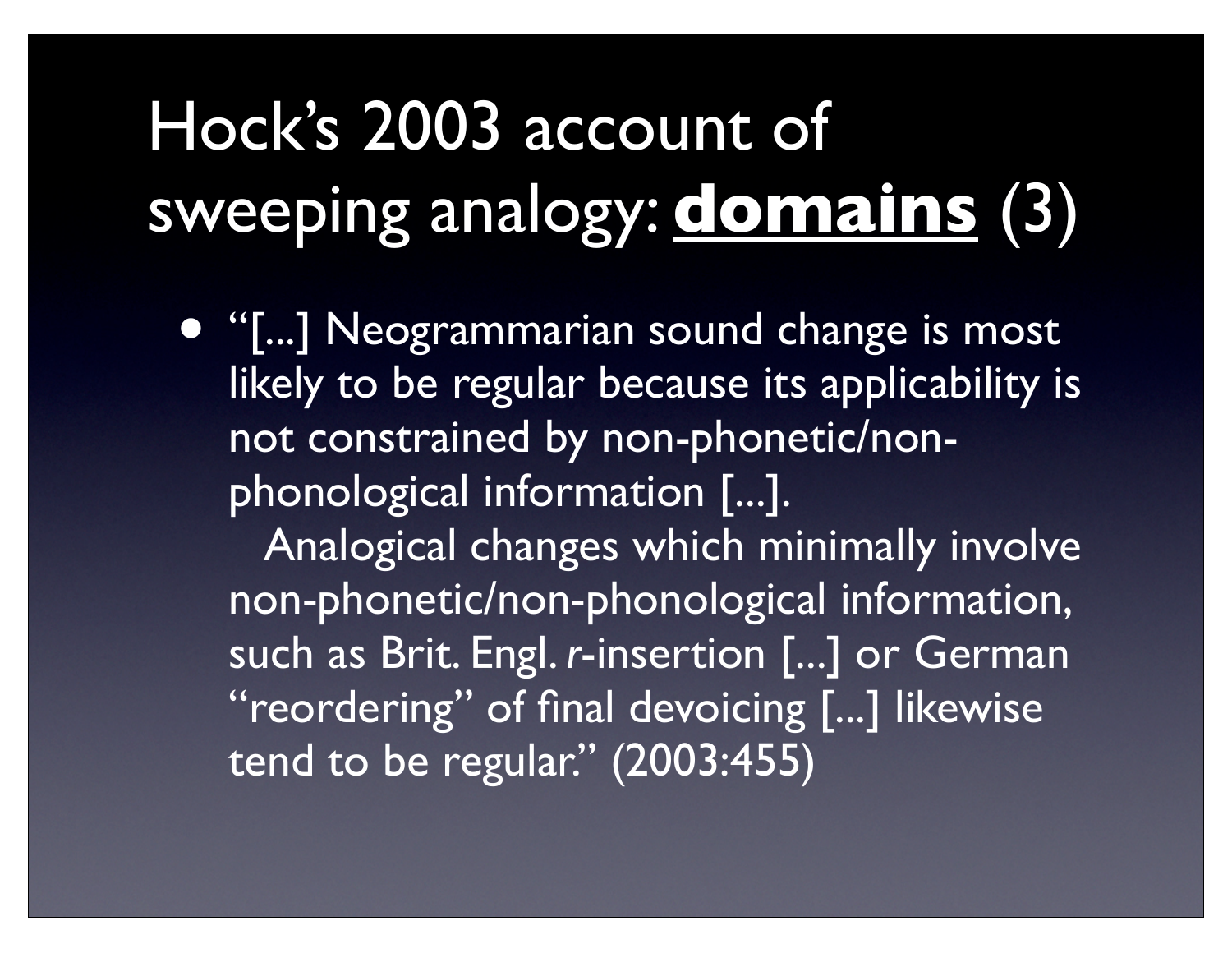#### Hock's 2003 account of sweeping analogy: **domains** (3)

• "[...] Neogrammarian sound change is most likely to be regular because its applicability is not constrained by non-phonetic/nonphonological information [...].

 Analogical changes which minimally involve non-phonetic/non-phonological information, such as Brit. Engl. *r*-insertion [...] or German "reordering" of final devoicing [...] likewise tend to be regular." (2003:455)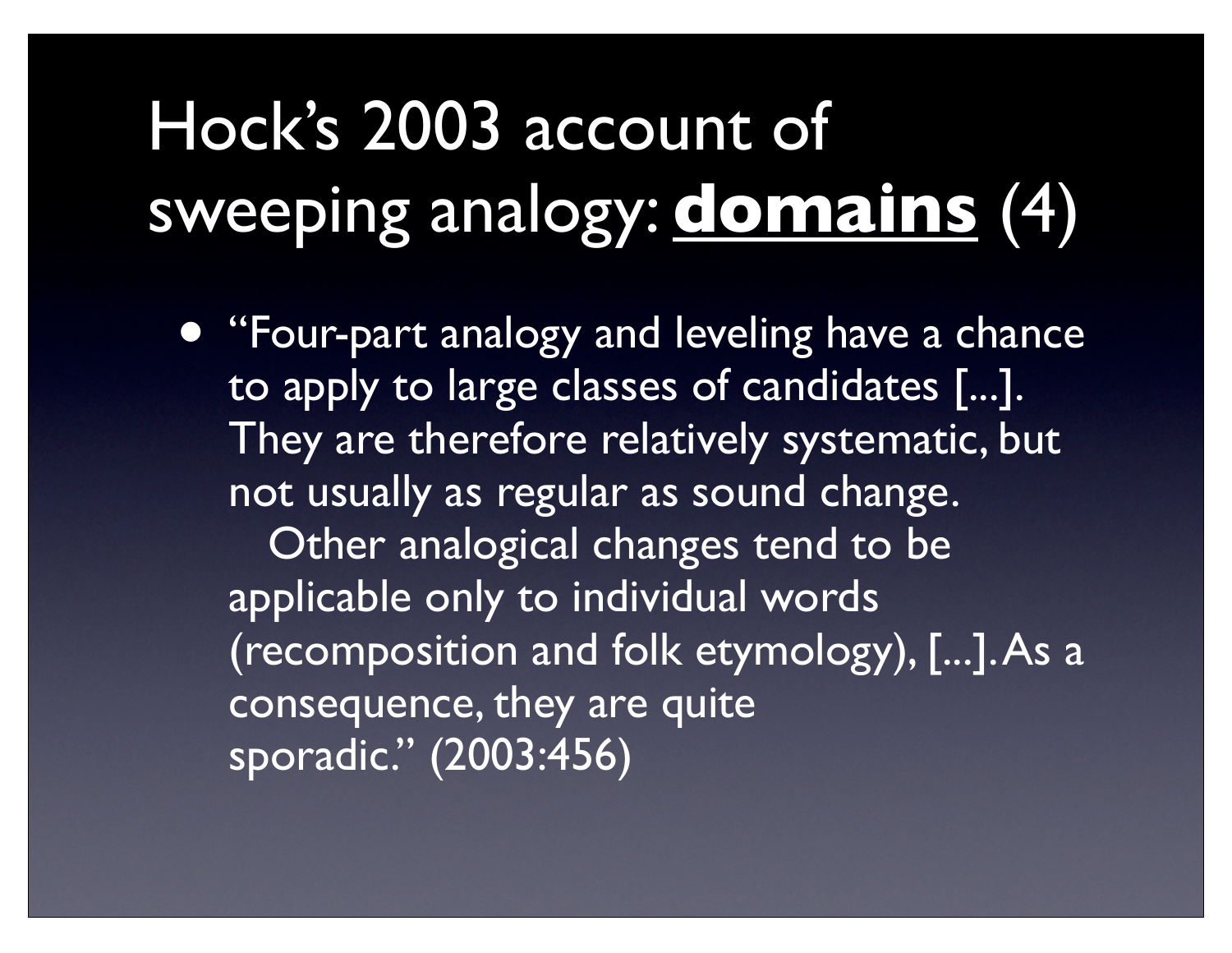#### Hock's 2003 account of sweeping analogy: **domains** (4)

• "Four-part analogy and leveling have a chance to apply to large classes of candidates [...]. They are therefore relatively systematic, but not usually as regular as sound change.

 Other analogical changes tend to be applicable only to individual words (recomposition and folk etymology), [...]. As a consequence, they are quite sporadic." (2003:456)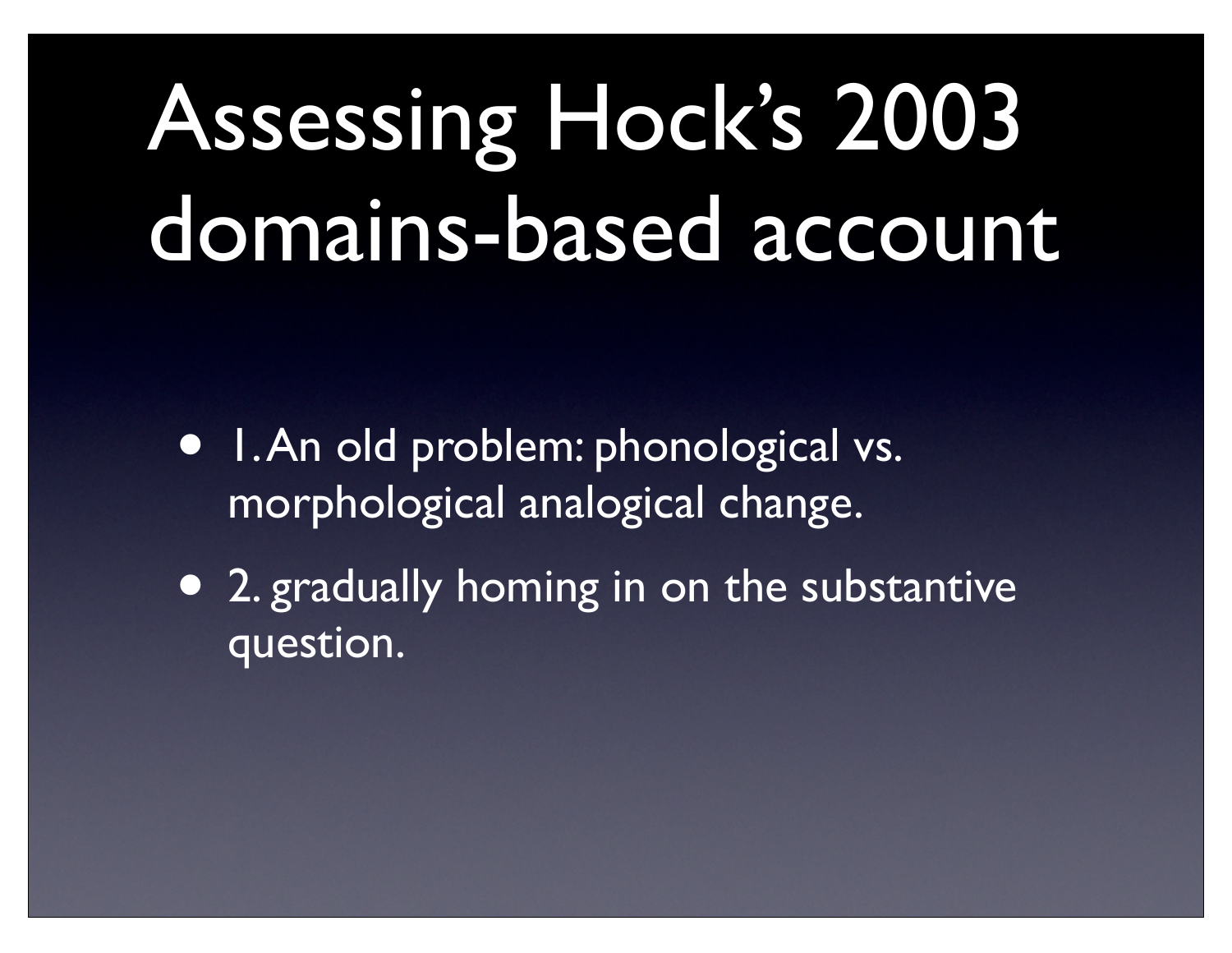# Assessing Hock's 2003 domains-based account

- 1. An old problem: phonological vs. morphological analogical change.
- 2. gradually homing in on the substantive question.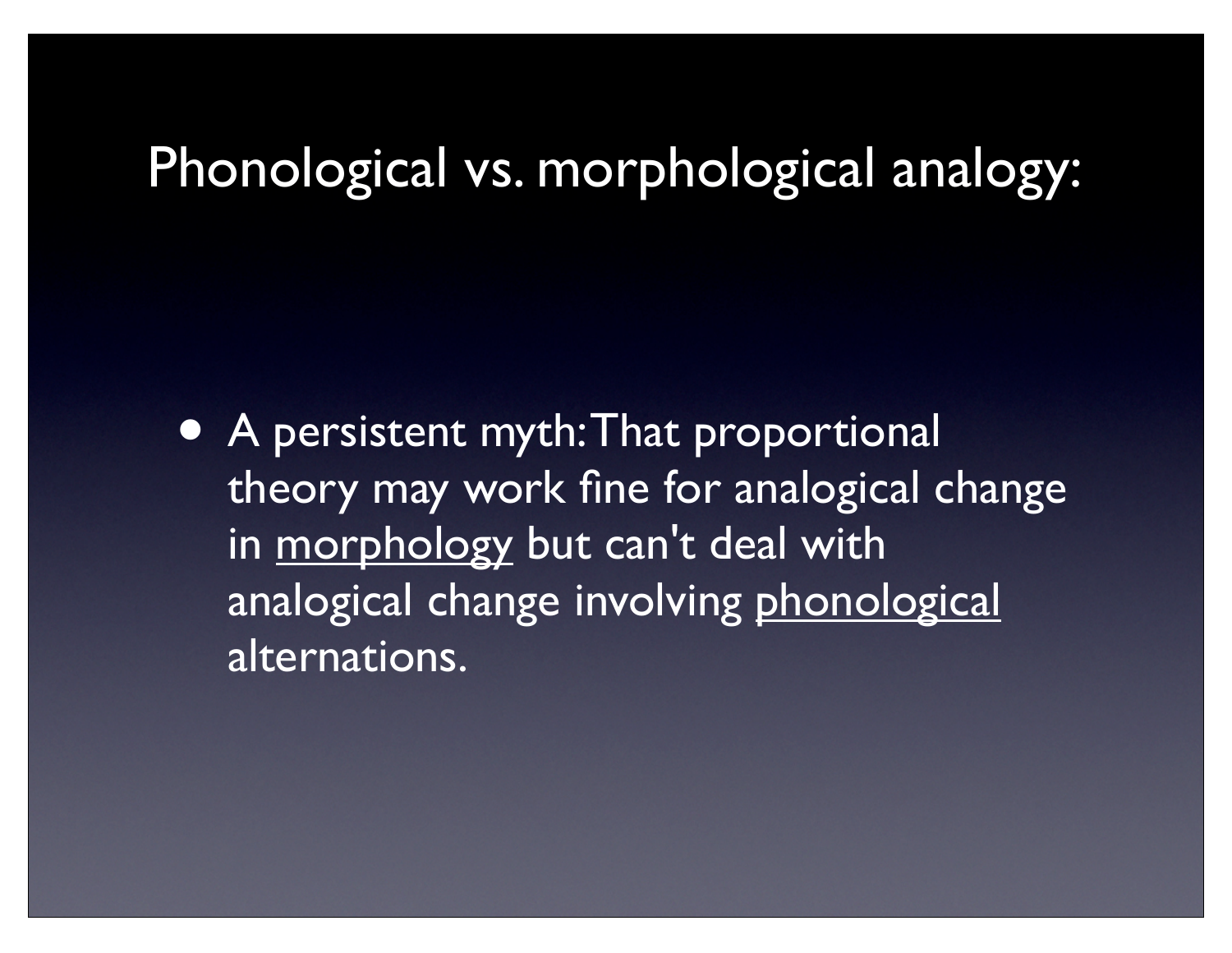#### Phonological vs. morphological analogy:

• A persistent myth: That proportional theory may work fine for analogical change in morphology but can't deal with analogical change involving phonological alternations.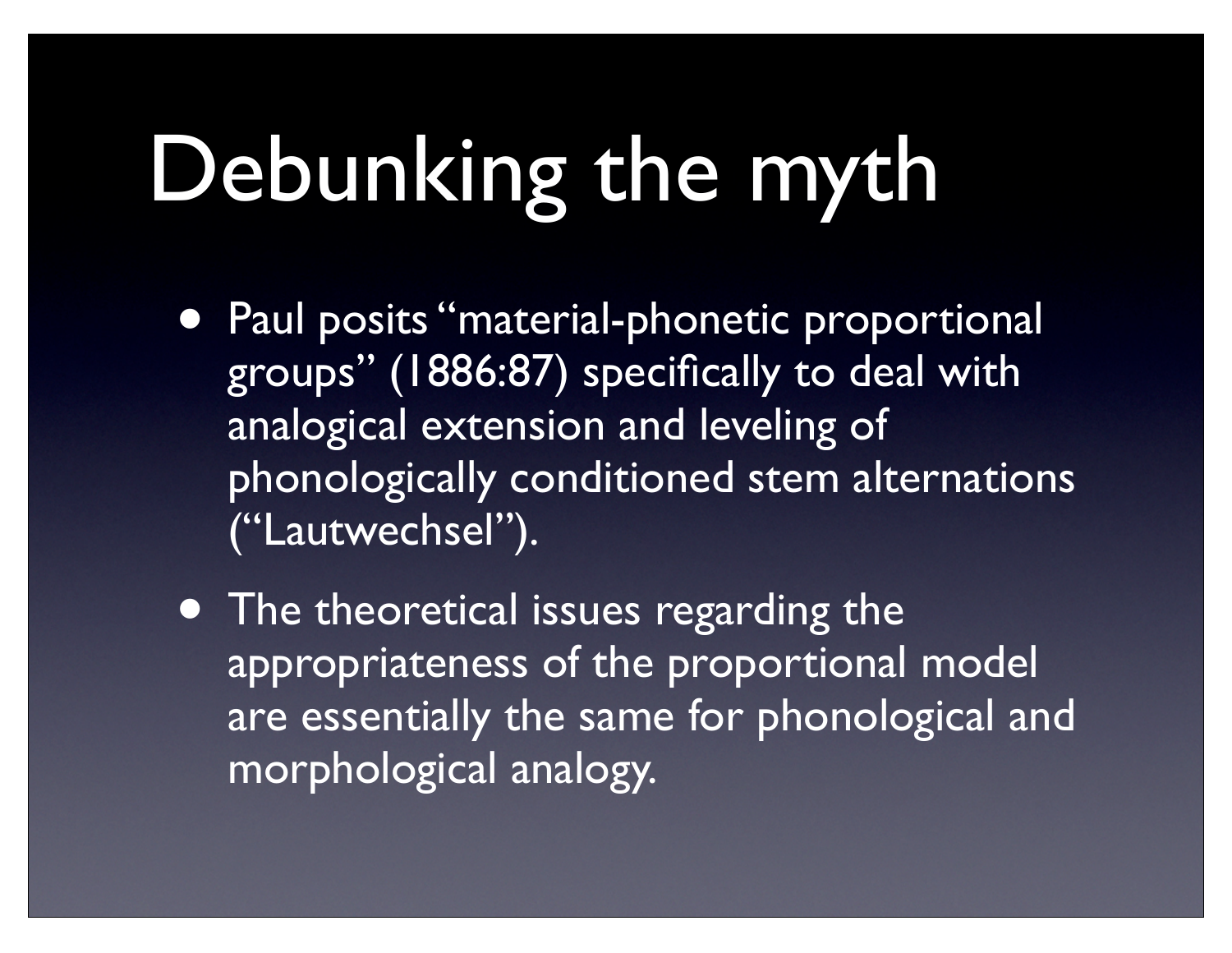## Debunking the myth

- Paul posits "material-phonetic proportional groups" (1886:87) specifically to deal with analogical extension and leveling of phonologically conditioned stem alternations ("Lautwechsel").
- The theoretical issues regarding the appropriateness of the proportional model are essentially the same for phonological and morphological analogy.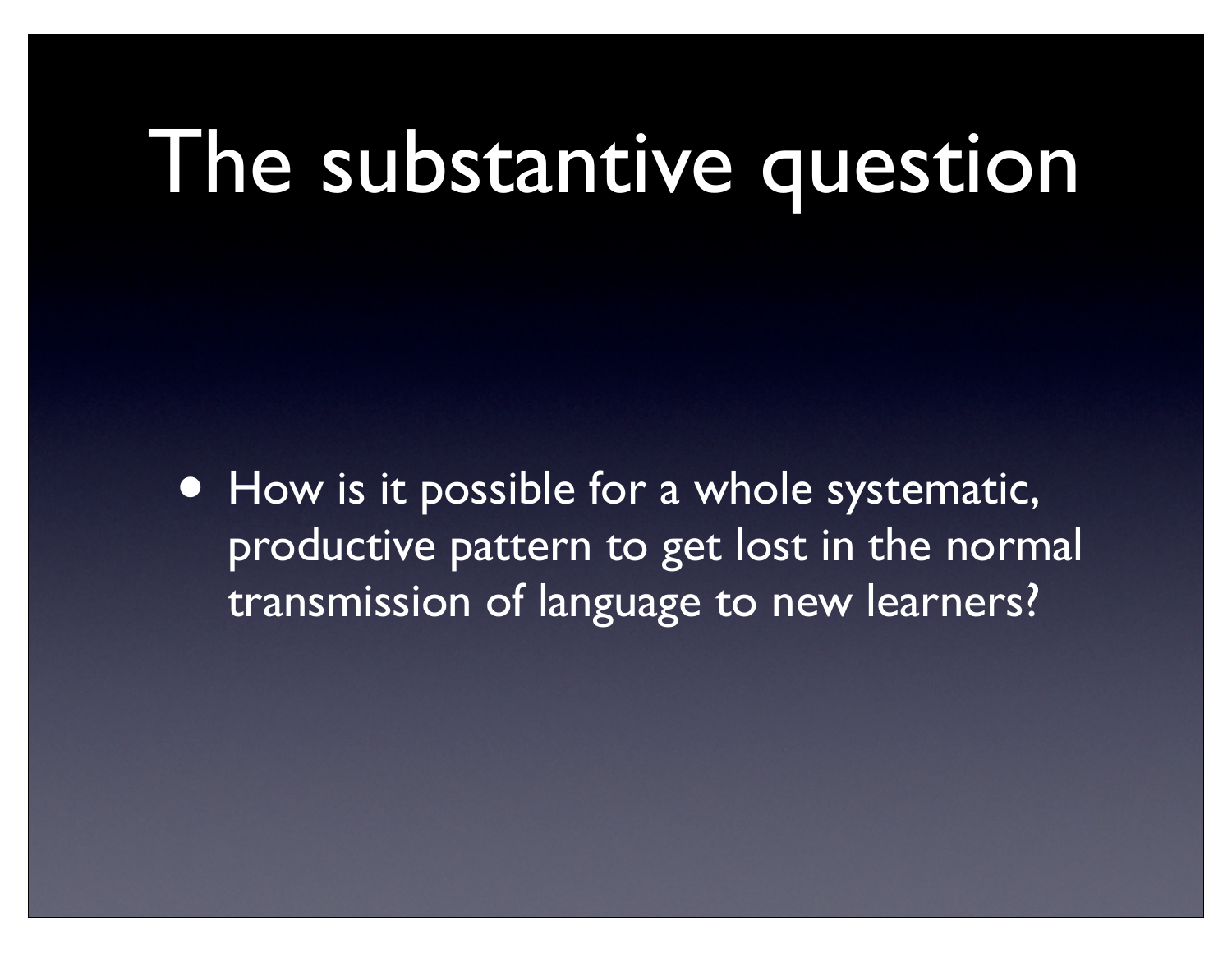#### The substantive question

• How is it possible for a whole systematic, productive pattern to get lost in the normal transmission of language to new learners?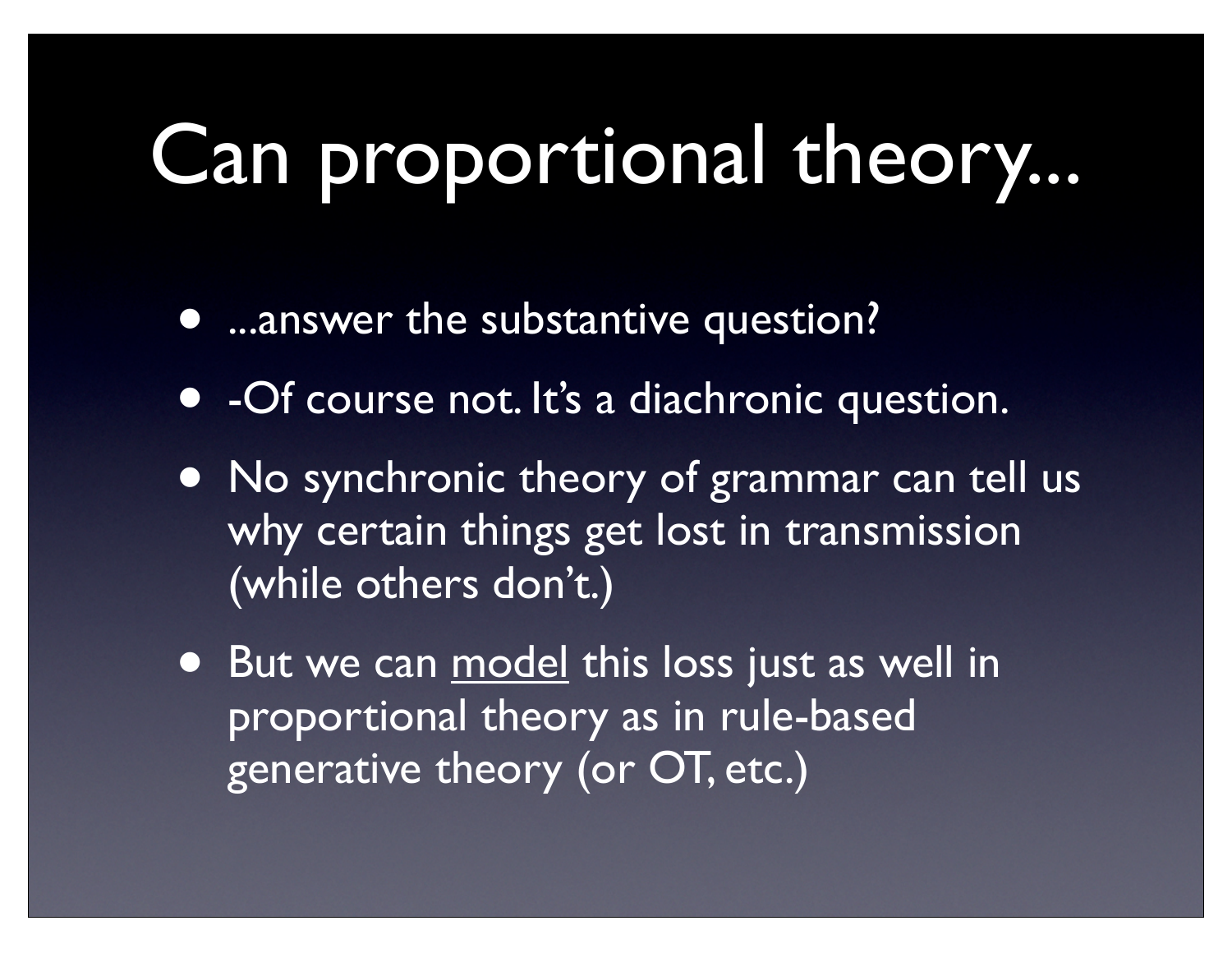### Can proportional theory...

- ...answer the substantive question?
- -Of course not. It's a diachronic question.
- No synchronic theory of grammar can tell us why certain things get lost in transmission (while others don't.)
- But we can model this loss just as well in proportional theory as in rule-based generative theory (or OT, etc.)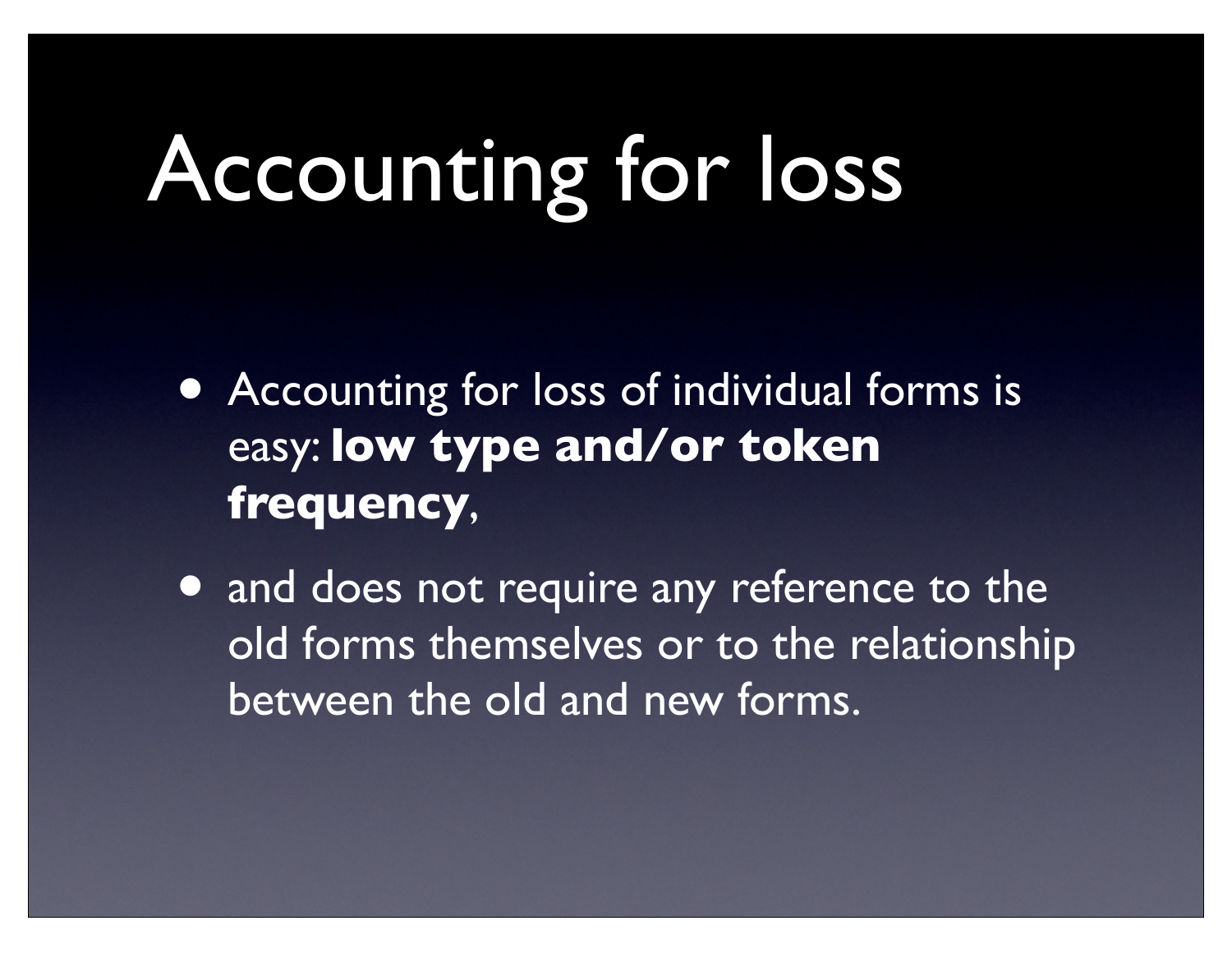# Accounting for loss

- Accounting for loss of individual forms is easy: **low type and/or token frequency**,
- and does not require any reference to the old forms themselves or to the relationship between the old and new forms.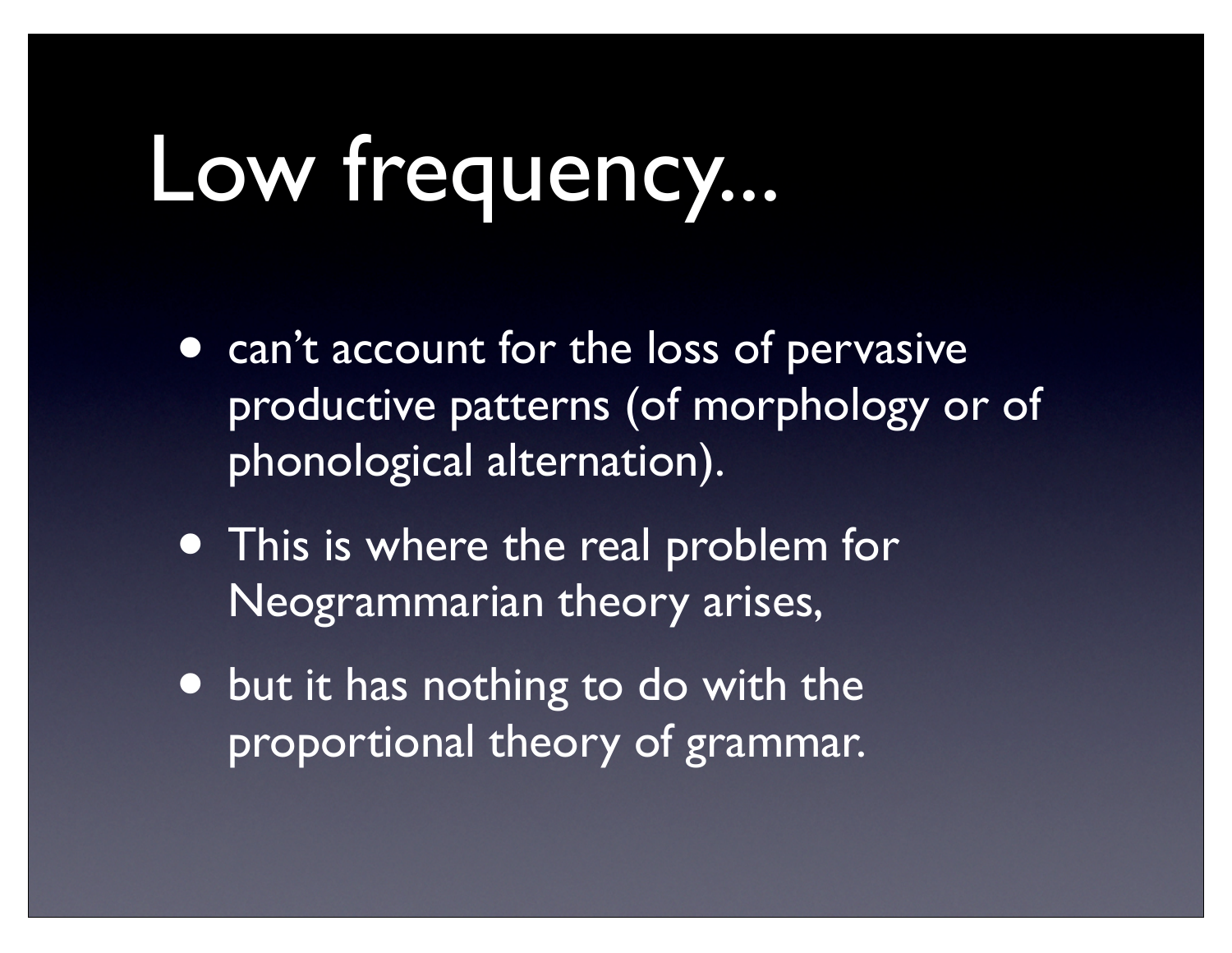## Low frequency...

- can't account for the loss of pervasive productive patterns (of morphology or of phonological alternation).
- This is where the real problem for Neogrammarian theory arises,
- but it has nothing to do with the proportional theory of grammar.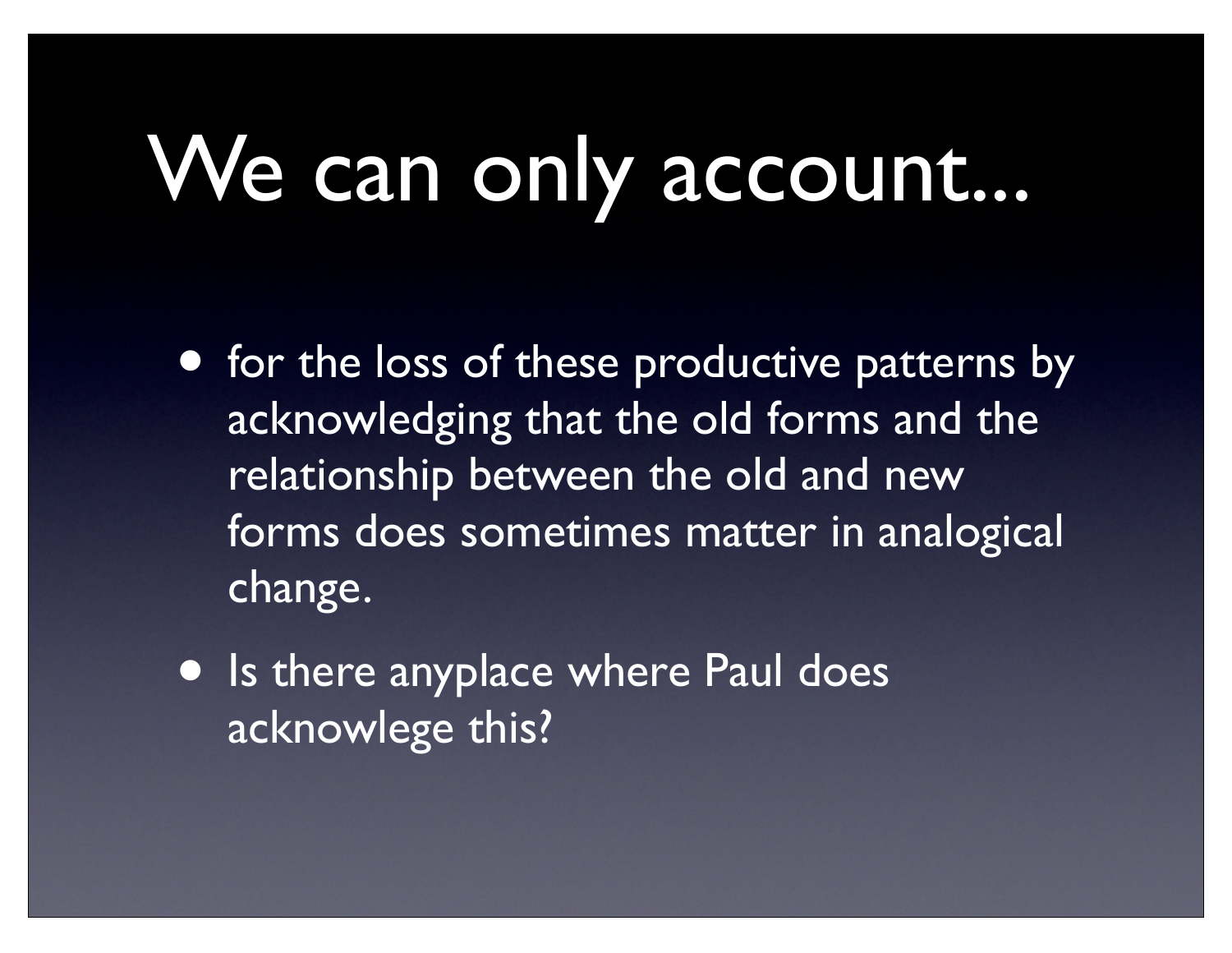# We can only account...

- for the loss of these productive patterns by acknowledging that the old forms and the relationship between the old and new forms does sometimes matter in analogical change.
- Is there anyplace where Paul does acknowlege this?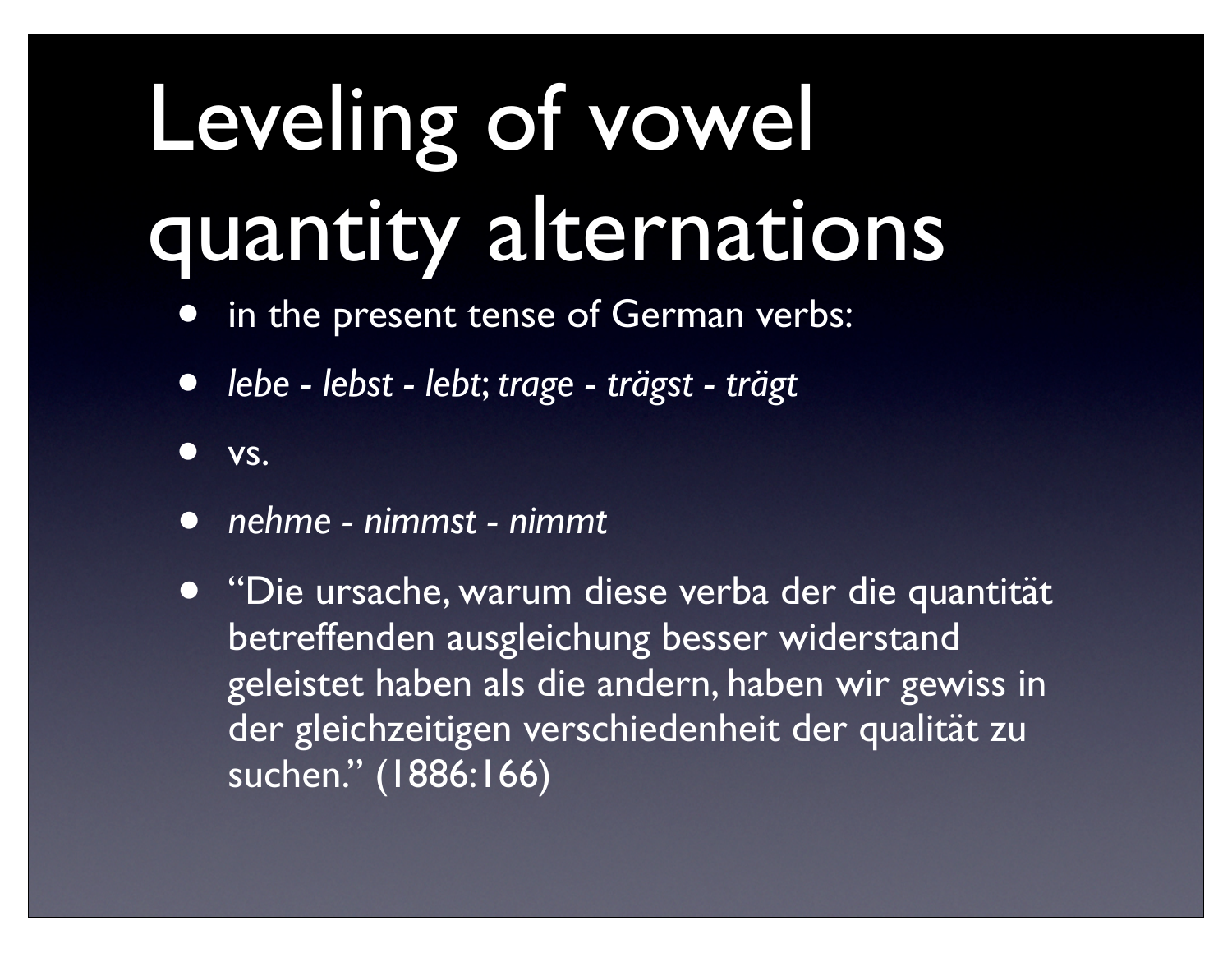# Leveling of vowel quantity alternations

- in the present tense of German verbs:
- *lebe lebst lebt*; *trage trägst trägt*
- vs.
- *• nehme nimmst nimmt*
- *•* "Die ursache, warum diese verba der die quantität betreffenden ausgleichung besser widerstand geleistet haben als die andern, haben wir gewiss in der gleichzeitigen verschiedenheit der qualität zu suchen." (1886:166)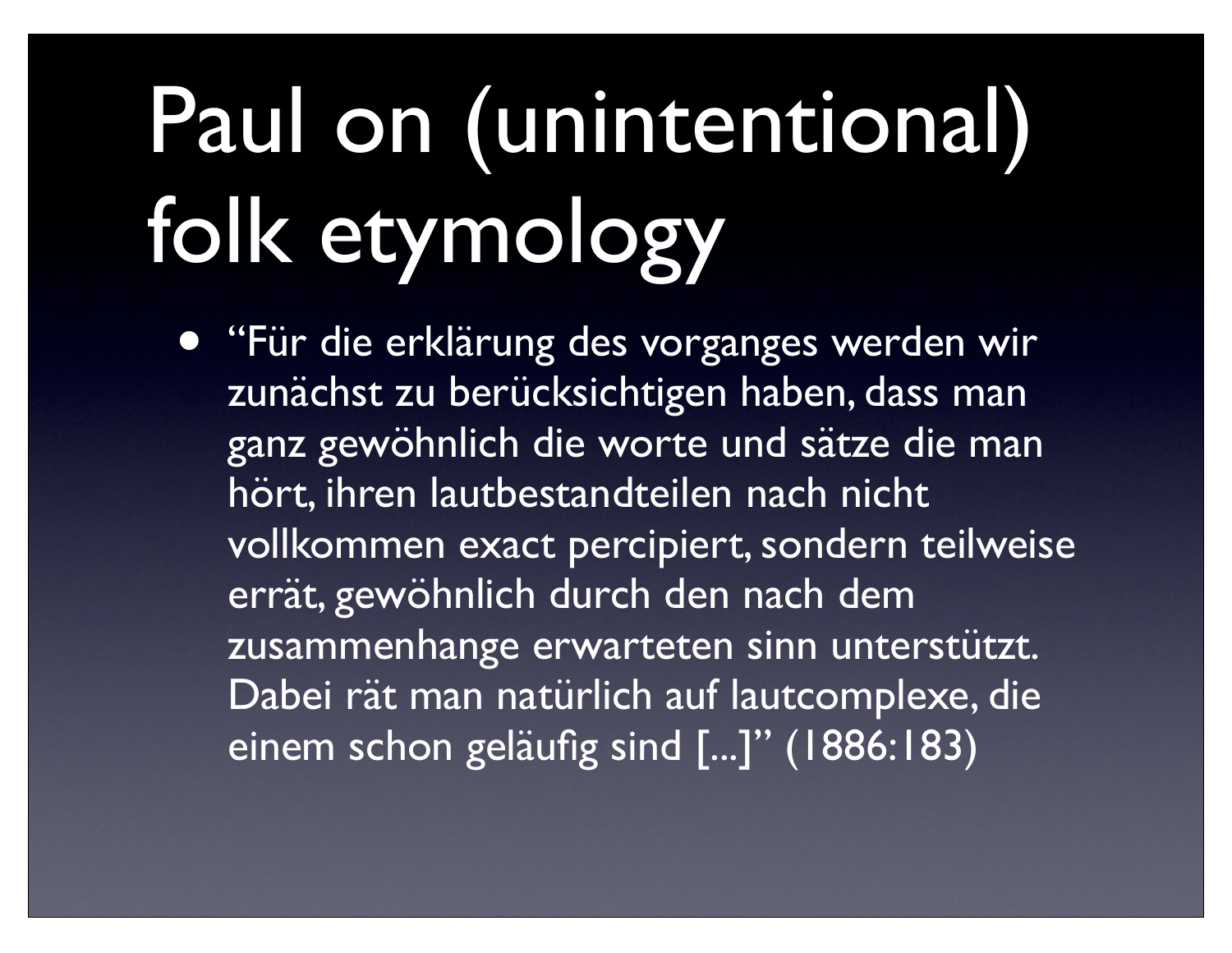# Paul on (unintentional) folk etymology

• "Für die erklärung des vorganges werden wir zunächst zu berücksichtigen haben, dass man ganz gewöhnlich die worte und sätze die man hört, ihren lautbestandteilen nach nicht vollkommen exact percipiert, sondern teilweise errät, gewöhnlich durch den nach dem zusammenhange erwarteten sinn unterstützt. Dabei rät man natürlich auf lautcomplexe, die einem schon geläufig sind [...]" (1886:183)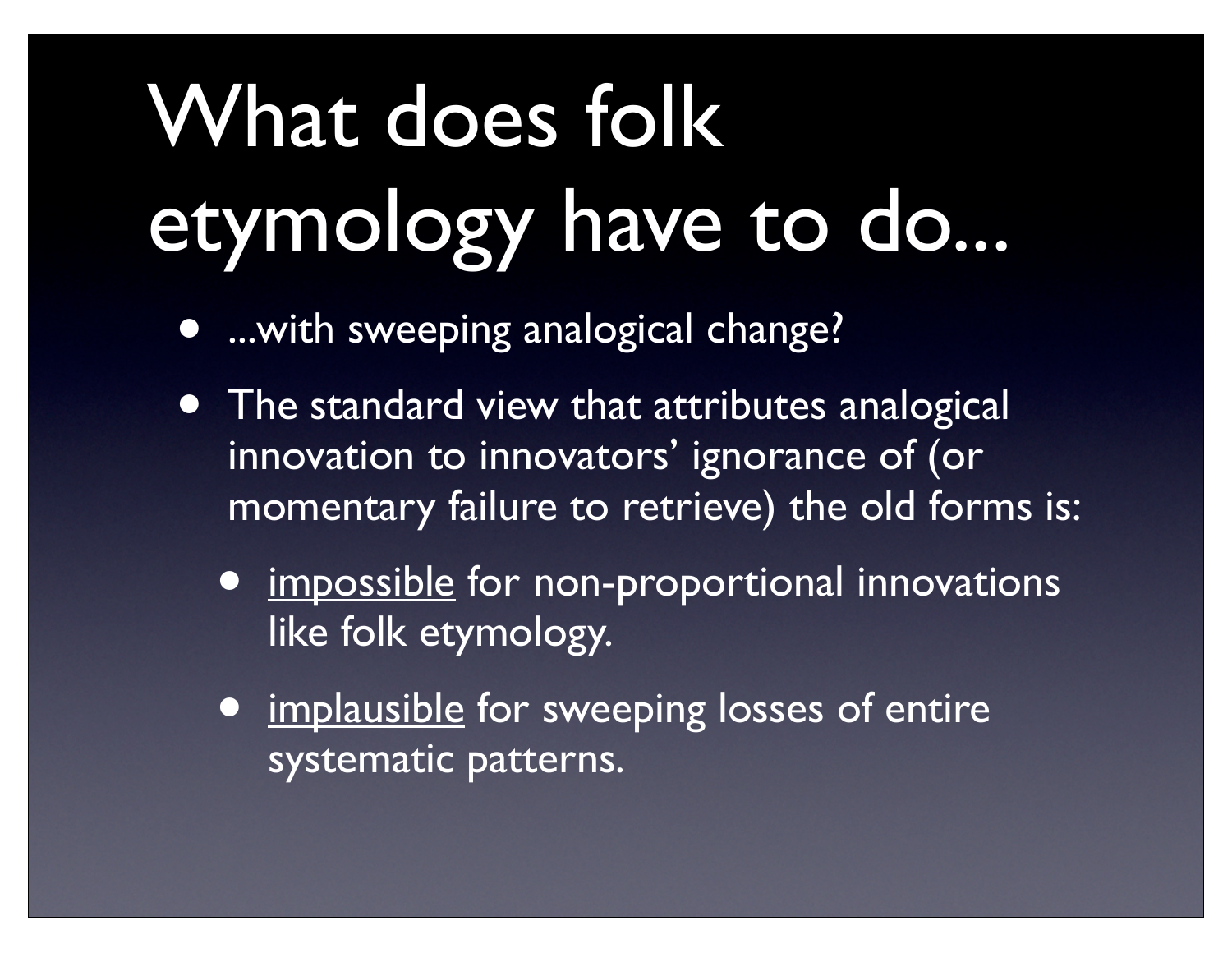# What does folk etymology have to do...

- ...with sweeping analogical change?
- The standard view that attributes analogical innovation to innovators' ignorance of (or momentary failure to retrieve) the old forms is:
	- impossible for non-proportional innovations like folk etymology.
	- implausible for sweeping losses of entire systematic patterns.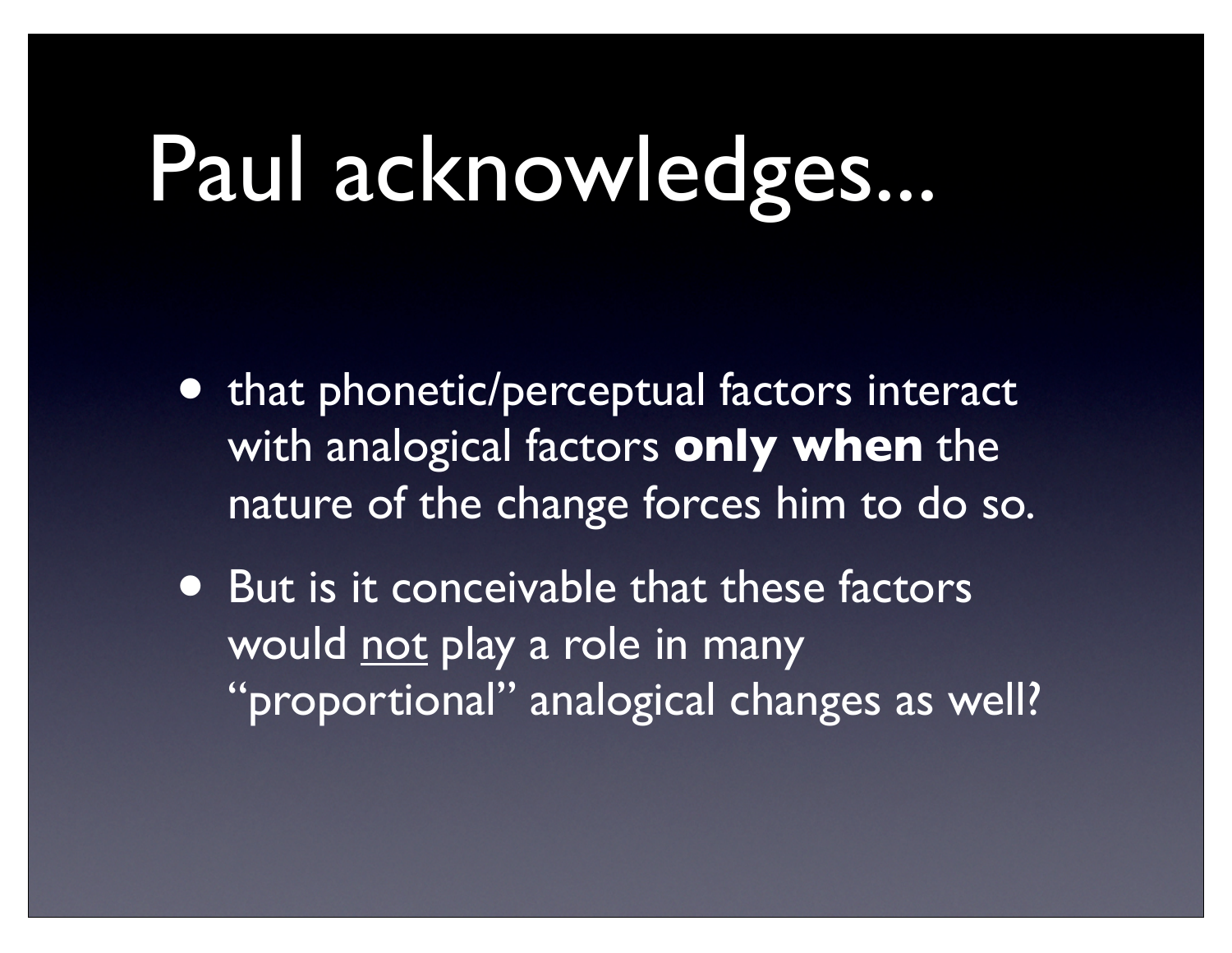## Paul acknowledges...

- that phonetic/perceptual factors interact with analogical factors **only when** the nature of the change forces him to do so.
- But is it conceivable that these factors would <u>not</u> play a role in many "proportional" analogical changes as well?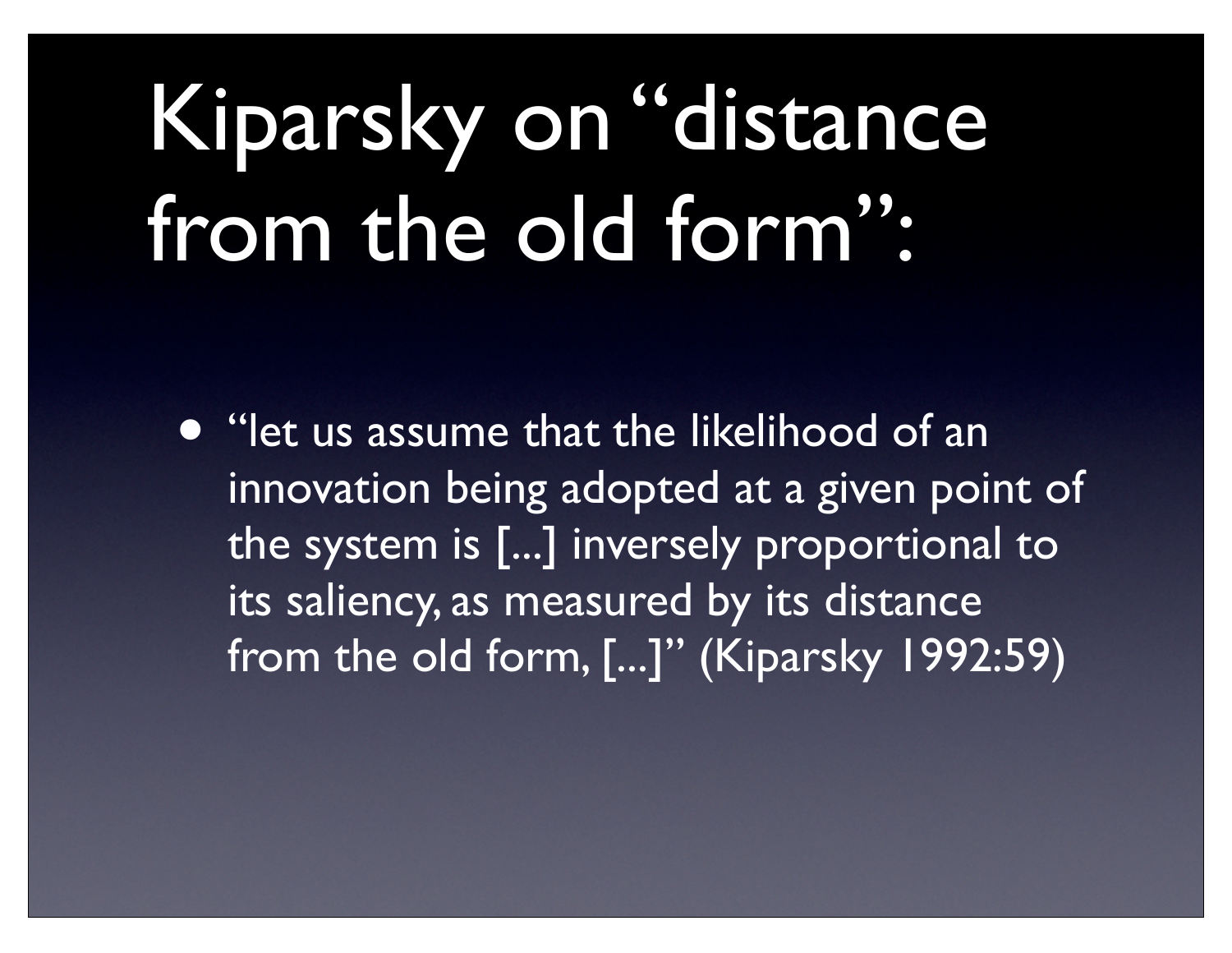# Kiparsky on "distance from the old form":

• "let us assume that the likelihood of an innovation being adopted at a given point of the system is [...] inversely proportional to its saliency, as measured by its distance from the old form, [...]" (Kiparsky 1992:59)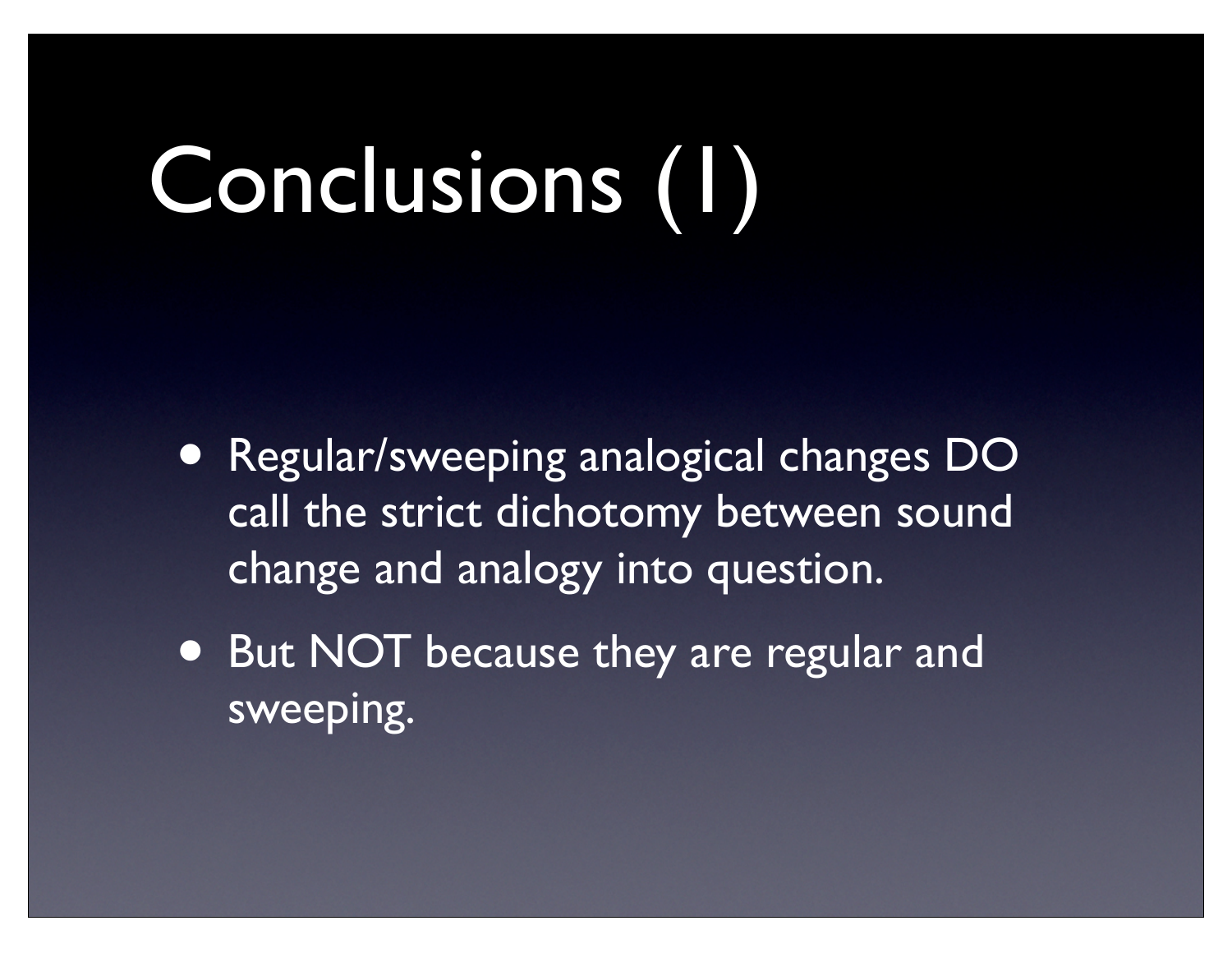## Conclusions (1)

- Regular/sweeping analogical changes DO call the strict dichotomy between sound change and analogy into question.
- But NOT because they are regular and sweeping.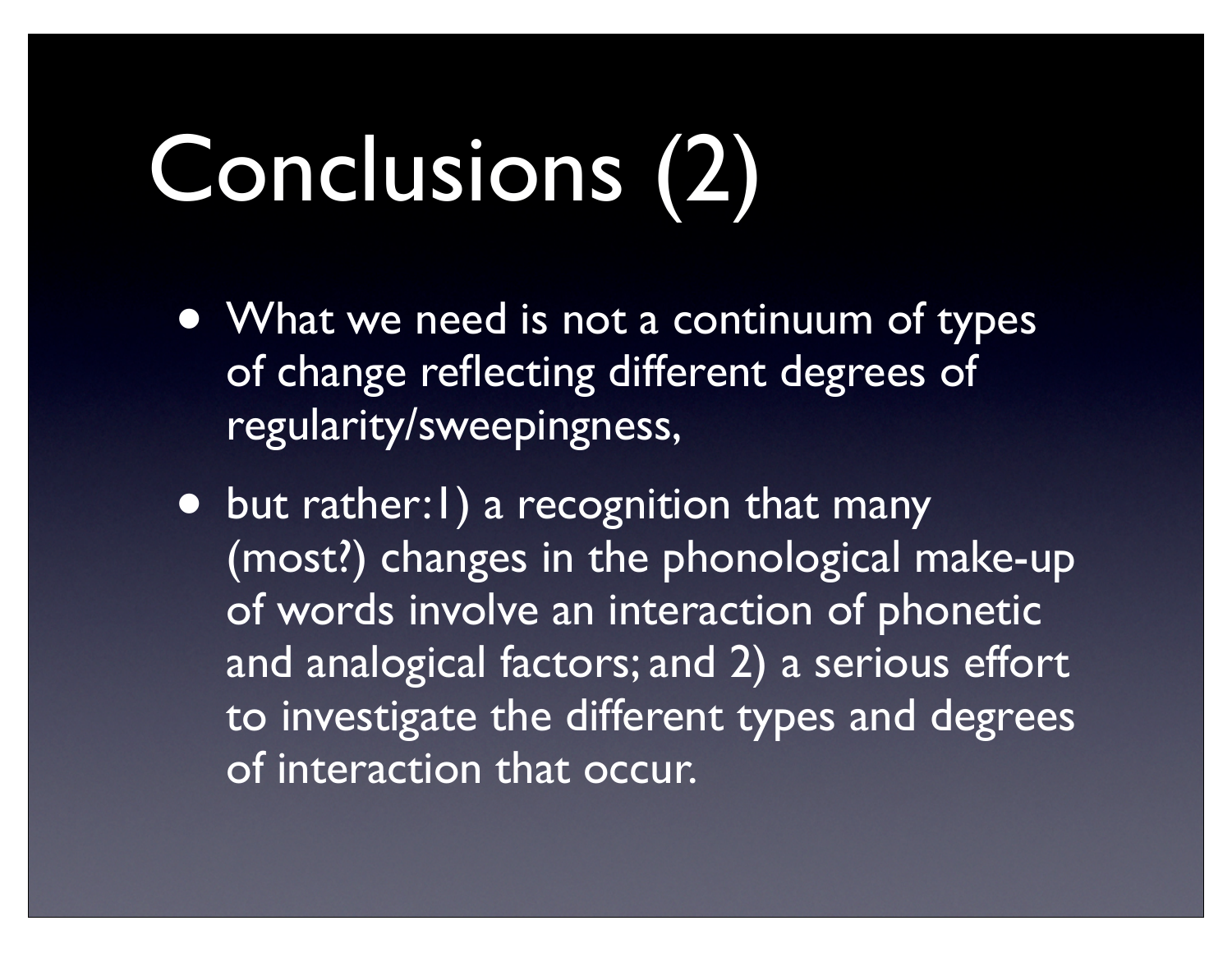# Conclusions (2)

- What we need is not a continuum of types of change reflecting different degrees of regularity/sweepingness,
- but rather: I) a recognition that many (most?) changes in the phonological make-up of words involve an interaction of phonetic and analogical factors; and 2) a serious effort to investigate the different types and degrees of interaction that occur.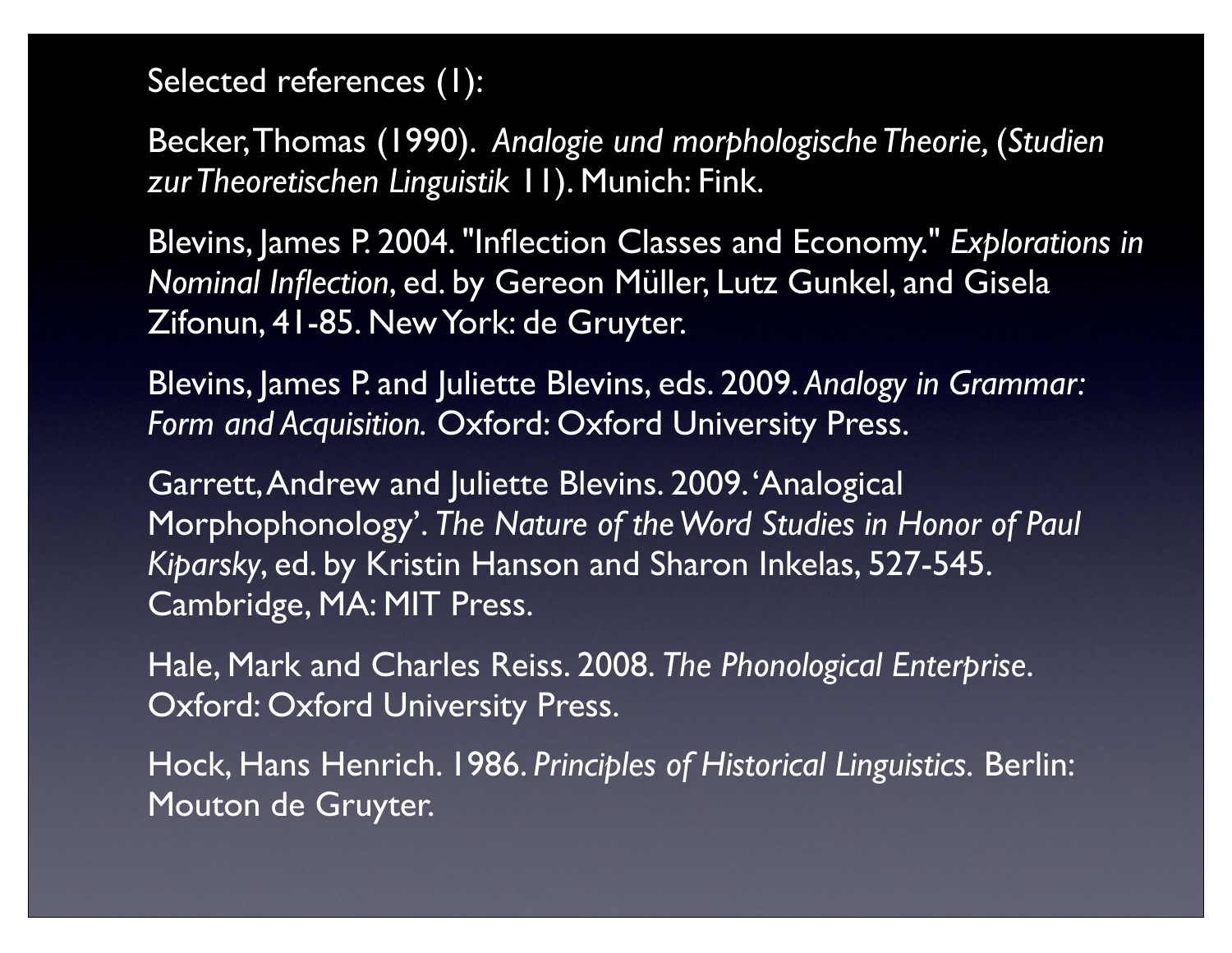Selected references (1):

Becker, Thomas (1990). *Analogie und morphologische Theorie,* (*Studien zur Theoretischen Linguistik* 11). Munich: Fink.

Blevins, James P. 2004. "Inflection Classes and Economy." *Explorations in Nominal Inflection*, ed. by Gereon Müller, Lutz Gunkel, and Gisela Zifonun, 41-85. New York: de Gruyter.

Blevins, James P. and Juliette Blevins, eds. 2009. *Analogy in Grammar: Form and Acquisition.* Oxford: Oxford University Press.

Garrett, Andrew and Juliette Blevins. 2009. 'Analogical Morphophonology'. *The Nature of the Word Studies in Honor of Paul Kiparsky*, ed. by Kristin Hanson and Sharon Inkelas, 527-545. Cambridge, MA: MIT Press.

Hale, Mark and Charles Reiss. 2008. *The Phonological Enterprise*. Oxford: Oxford University Press.

Hock, Hans Henrich. 1986. *Principles of Historical Linguistics.* Berlin: Mouton de Gruyter.